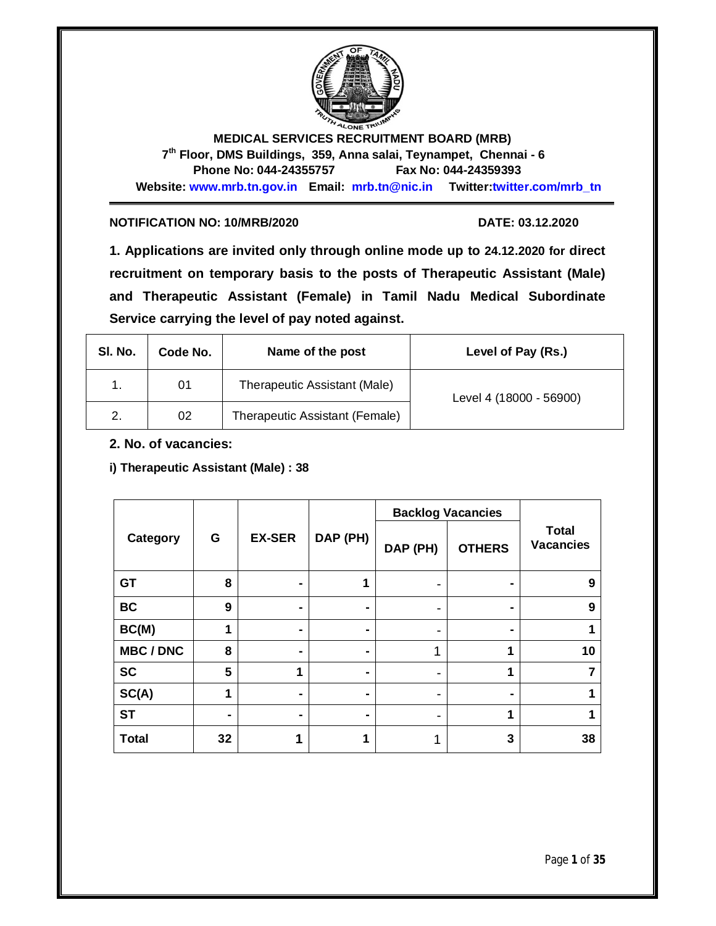

**MEDICAL SERVICES RECRUITMENT BOARD (MRB) 7 th Floor, DMS Buildings, 359, Anna salai, Teynampet, Chennai - 6 Phone No: 044-24355757 Fax No: 044-24359393 Website: www.mrb.tn.gov.in Email: mrb.tn@nic.in Twitter:twitter.com/mrb\_tn**

#### **NOTIFICATION NO: 10/MRB/2020 DATE: 03.12.2020**

**1. Applications are invited only through online mode up to 24.12.2020 for direct recruitment on temporary basis to the posts of Therapeutic Assistant (Male) and Therapeutic Assistant (Female) in Tamil Nadu Medical Subordinate Service carrying the level of pay noted against.**

| SI. No. | Code No. | Name of the post               | Level of Pay (Rs.)      |
|---------|----------|--------------------------------|-------------------------|
|         | 01       | Therapeutic Assistant (Male)   | Level 4 (18000 - 56900) |
| 2.      | 02       | Therapeutic Assistant (Female) |                         |

**2. No. of vacancies:** 

**i) Therapeutic Assistant (Male) : 38**

|                  |    |               |          |          | <b>Backlog Vacancies</b> |                                  |
|------------------|----|---------------|----------|----------|--------------------------|----------------------------------|
| Category         | G  | <b>EX-SER</b> | DAP (PH) | DAP (PH) | <b>OTHERS</b>            | <b>Total</b><br><b>Vacancies</b> |
| <b>GT</b>        | 8  | ۰             | 1        |          |                          | 9                                |
| <b>BC</b>        | 9  | ۰             |          | -        |                          | 9                                |
| BC(M)            | 1  | ۰             |          |          |                          |                                  |
| <b>MBC / DNC</b> | 8  | ۰             |          |          | 4                        | 10                               |
| <b>SC</b>        | 5  | 1             |          |          | 1                        |                                  |
| SC(A)            | 1  | ۰             |          |          |                          |                                  |
| <b>ST</b>        |    | ۰             |          |          | 1                        |                                  |
| <b>Total</b>     | 32 | ٠             | 4        |          | 3                        | 38                               |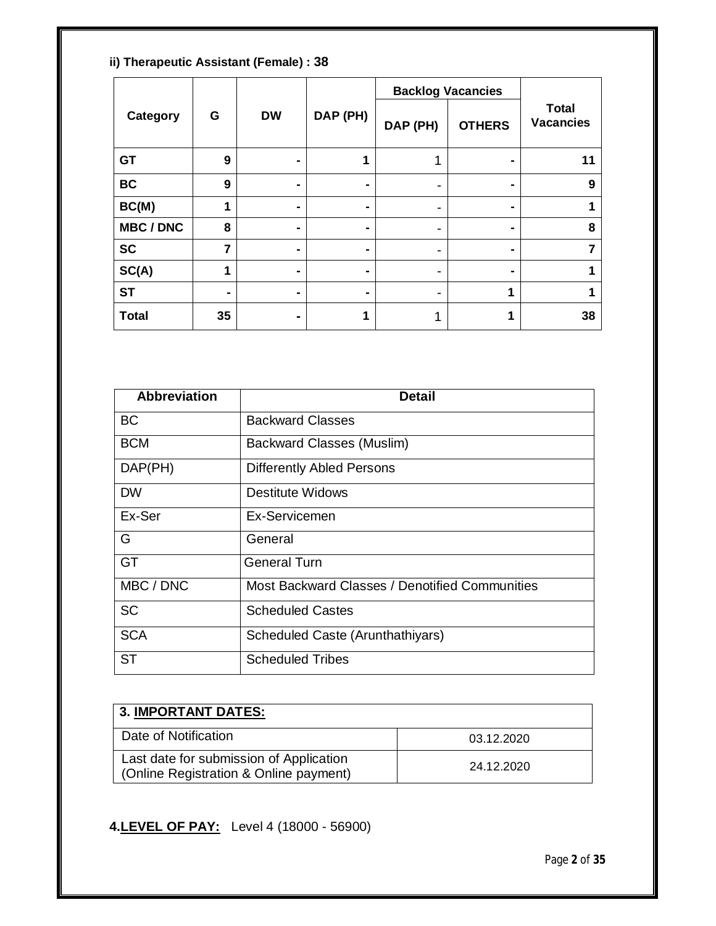**ii) Therapeutic Assistant (Female) : 38**

|                  |                |                |          |          | <b>Backlog Vacancies</b> |                                  |
|------------------|----------------|----------------|----------|----------|--------------------------|----------------------------------|
| Category         | G              | <b>DW</b>      | DAP (PH) | DAP (PH) | <b>OTHERS</b>            | <b>Total</b><br><b>Vacancies</b> |
| <b>GT</b>        | 9              | ۰              | 1        | 1        |                          | 11                               |
| <b>BC</b>        | 9              | ۰              | ۰        | -        | -                        | 9                                |
| BC(M)            | 1              | $\blacksquare$ | ۰        | -        |                          |                                  |
| <b>MBC / DNC</b> | 8              | ۰              | ۰        | ۰        |                          | 8                                |
| <b>SC</b>        | $\overline{7}$ | ۰              |          | ۰        |                          | 7                                |
| SC(A)            | 4              | $\blacksquare$ | ۰        | -        |                          |                                  |
| <b>ST</b>        |                | ۰              |          |          | 1                        |                                  |
| <b>Total</b>     | 35             | ۰              | 1        | 1        | и                        | 38                               |

| <b>Abbreviation</b> | Detail                                         |
|---------------------|------------------------------------------------|
| <b>BC</b>           | <b>Backward Classes</b>                        |
| <b>BCM</b>          | Backward Classes (Muslim)                      |
| DAP(PH)             | <b>Differently Abled Persons</b>               |
| <b>DW</b>           | Destitute Widows                               |
| Ex-Ser              | Ex-Servicemen                                  |
| G                   | General                                        |
| GT                  | <b>General Turn</b>                            |
| MBC / DNC           | Most Backward Classes / Denotified Communities |
| <b>SC</b>           | <b>Scheduled Castes</b>                        |
| <b>SCA</b>          | Scheduled Caste (Arunthathiyars)               |
| <b>ST</b>           | <b>Scheduled Tribes</b>                        |

| <b>3. IMPORTANT DATES:</b>                                                          |            |  |
|-------------------------------------------------------------------------------------|------------|--|
| Date of Notification                                                                | 03.12.2020 |  |
| Last date for submission of Application<br>  (Online Registration & Online payment) | 24.12.2020 |  |

**4.LEVEL OF PAY:** Level 4 (18000 - 56900)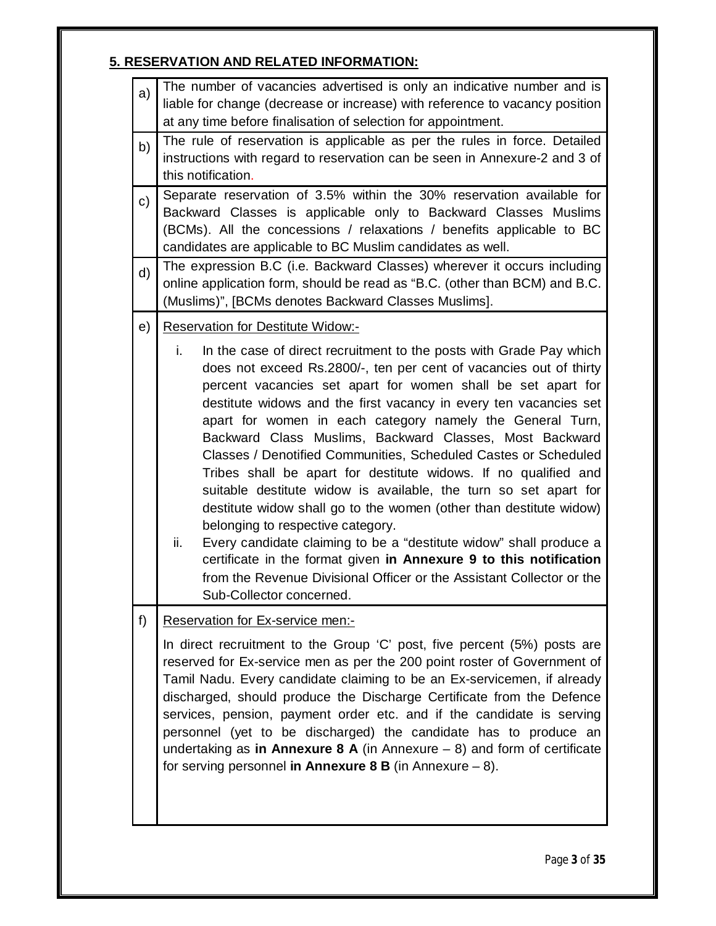# **5. RESERVATION AND RELATED INFORMATION:**

| a) | The number of vacancies advertised is only an indicative number and is                                                                                                                                                                                                                                                                                                                                                                                                                                                                                                                                                                                                                                                                                                                                                                                                                                                                                                                    |  |  |
|----|-------------------------------------------------------------------------------------------------------------------------------------------------------------------------------------------------------------------------------------------------------------------------------------------------------------------------------------------------------------------------------------------------------------------------------------------------------------------------------------------------------------------------------------------------------------------------------------------------------------------------------------------------------------------------------------------------------------------------------------------------------------------------------------------------------------------------------------------------------------------------------------------------------------------------------------------------------------------------------------------|--|--|
|    | liable for change (decrease or increase) with reference to vacancy position                                                                                                                                                                                                                                                                                                                                                                                                                                                                                                                                                                                                                                                                                                                                                                                                                                                                                                               |  |  |
|    | at any time before finalisation of selection for appointment.                                                                                                                                                                                                                                                                                                                                                                                                                                                                                                                                                                                                                                                                                                                                                                                                                                                                                                                             |  |  |
| b) | The rule of reservation is applicable as per the rules in force. Detailed<br>instructions with regard to reservation can be seen in Annexure-2 and 3 of<br>this notification.                                                                                                                                                                                                                                                                                                                                                                                                                                                                                                                                                                                                                                                                                                                                                                                                             |  |  |
| c) | Separate reservation of 3.5% within the 30% reservation available for<br>Backward Classes is applicable only to Backward Classes Muslims<br>(BCMs). All the concessions / relaxations / benefits applicable to BC<br>candidates are applicable to BC Muslim candidates as well.                                                                                                                                                                                                                                                                                                                                                                                                                                                                                                                                                                                                                                                                                                           |  |  |
| d) | The expression B.C (i.e. Backward Classes) wherever it occurs including<br>online application form, should be read as "B.C. (other than BCM) and B.C.<br>(Muslims)", [BCMs denotes Backward Classes Muslims].                                                                                                                                                                                                                                                                                                                                                                                                                                                                                                                                                                                                                                                                                                                                                                             |  |  |
| e) | <b>Reservation for Destitute Widow:-</b>                                                                                                                                                                                                                                                                                                                                                                                                                                                                                                                                                                                                                                                                                                                                                                                                                                                                                                                                                  |  |  |
|    | i.<br>In the case of direct recruitment to the posts with Grade Pay which<br>does not exceed Rs.2800/-, ten per cent of vacancies out of thirty<br>percent vacancies set apart for women shall be set apart for<br>destitute widows and the first vacancy in every ten vacancies set<br>apart for women in each category namely the General Turn,<br>Backward Class Muslims, Backward Classes, Most Backward<br>Classes / Denotified Communities, Scheduled Castes or Scheduled<br>Tribes shall be apart for destitute widows. If no qualified and<br>suitable destitute widow is available, the turn so set apart for<br>destitute widow shall go to the women (other than destitute widow)<br>belonging to respective category.<br>ii.<br>Every candidate claiming to be a "destitute widow" shall produce a<br>certificate in the format given in Annexure 9 to this notification<br>from the Revenue Divisional Officer or the Assistant Collector or the<br>Sub-Collector concerned. |  |  |
| f) | <b>Reservation for Ex-service men:-</b><br>In direct recruitment to the Group 'C' post, five percent (5%) posts are<br>reserved for Ex-service men as per the 200 point roster of Government of<br>Tamil Nadu. Every candidate claiming to be an Ex-servicemen, if already<br>discharged, should produce the Discharge Certificate from the Defence<br>services, pension, payment order etc. and if the candidate is serving<br>personnel (yet to be discharged) the candidate has to produce an<br>undertaking as in Annexure 8 A (in Annexure $-$ 8) and form of certificate<br>for serving personnel in Annexure 8 B (in Annexure $-8$ ).                                                                                                                                                                                                                                                                                                                                              |  |  |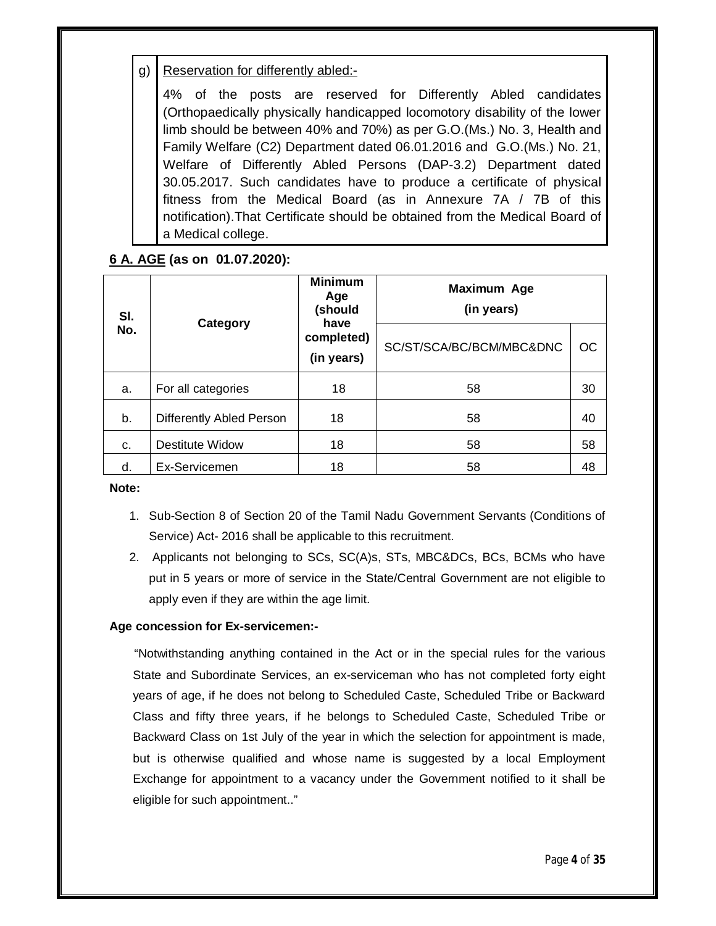g) Reservation for differently abled:-

4% of the posts are reserved for Differently Abled candidates (Orthopaedically physically handicapped locomotory disability of the lower limb should be between 40% and 70%) as per G.O.(Ms.) No. 3, Health and Family Welfare (C2) Department dated 06.01.2016 and G.O.(Ms.) No. 21, Welfare of Differently Abled Persons (DAP-3.2) Department dated 30.05.2017. Such candidates have to produce a certificate of physical fitness from the Medical Board (as in Annexure 7A / 7B of this notification).That Certificate should be obtained from the Medical Board of a Medical college.

# **6 A. AGE (as on 01.07.2020):**

| SI. |                          | <b>Minimum</b><br>Age<br>(should | Maximum Age<br>(in years) |    |  |
|-----|--------------------------|----------------------------------|---------------------------|----|--|
| No. | Category                 | have<br>completed)<br>(in years) | SC/ST/SCA/BC/BCM/MBC&DNC  | ОC |  |
| a.  | For all categories       | 18                               | 58                        | 30 |  |
| b.  | Differently Abled Person | 18                               | 58                        | 40 |  |
| C.  | <b>Destitute Widow</b>   | 18                               | 58                        | 58 |  |
| d.  | Ex-Servicemen            | 18                               | 58                        | 48 |  |

**Note:** 

- 1. Sub-Section 8 of Section 20 of the Tamil Nadu Government Servants (Conditions of Service) Act- 2016 shall be applicable to this recruitment.
- 2. Applicants not belonging to SCs, SC(A)s, STs, MBC&DCs, BCs, BCMs who have put in 5 years or more of service in the State/Central Government are not eligible to apply even if they are within the age limit.

#### **Age concession for Ex-servicemen:-**

 "Notwithstanding anything contained in the Act or in the special rules for the various State and Subordinate Services, an ex-serviceman who has not completed forty eight years of age, if he does not belong to Scheduled Caste, Scheduled Tribe or Backward Class and fifty three years, if he belongs to Scheduled Caste, Scheduled Tribe or Backward Class on 1st July of the year in which the selection for appointment is made, but is otherwise qualified and whose name is suggested by a local Employment Exchange for appointment to a vacancy under the Government notified to it shall be eligible for such appointment.."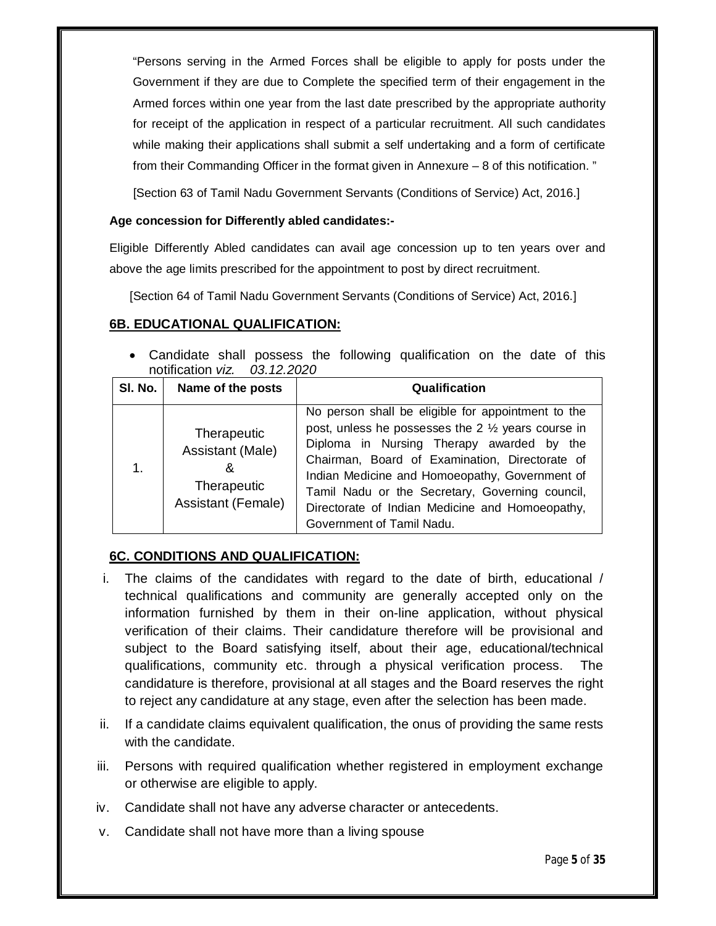"Persons serving in the Armed Forces shall be eligible to apply for posts under the Government if they are due to Complete the specified term of their engagement in the Armed forces within one year from the last date prescribed by the appropriate authority for receipt of the application in respect of a particular recruitment. All such candidates while making their applications shall submit a self undertaking and a form of certificate from their Commanding Officer in the format given in Annexure – 8 of this notification. "

[Section 63 of Tamil Nadu Government Servants (Conditions of Service) Act, 2016.]

#### **Age concession for Differently abled candidates:-**

Eligible Differently Abled candidates can avail age concession up to ten years over and above the age limits prescribed for the appointment to post by direct recruitment.

[Section 64 of Tamil Nadu Government Servants (Conditions of Service) Act, 2016.]

#### **6B. EDUCATIONAL QUALIFICATION:**

 Candidate shall possess the following qualification on the date of this notification *viz. 03.12.2020*

| SI. No. | Name of the posts                                                                | Qualification                                                                                                                                                                                                                                                                                                                                                                                          |
|---------|----------------------------------------------------------------------------------|--------------------------------------------------------------------------------------------------------------------------------------------------------------------------------------------------------------------------------------------------------------------------------------------------------------------------------------------------------------------------------------------------------|
| 1.      | Therapeutic<br>Assistant (Male)<br>&<br>Therapeutic<br><b>Assistant (Female)</b> | No person shall be eligible for appointment to the<br>post, unless he possesses the $2\frac{1}{2}$ years course in<br>Diploma in Nursing Therapy awarded by the<br>Chairman, Board of Examination, Directorate of<br>Indian Medicine and Homoeopathy, Government of<br>Tamil Nadu or the Secretary, Governing council,<br>Directorate of Indian Medicine and Homoeopathy,<br>Government of Tamil Nadu. |

# **6C. CONDITIONS AND QUALIFICATION:**

- i. The claims of the candidates with regard to the date of birth, educational / technical qualifications and community are generally accepted only on the information furnished by them in their on-line application, without physical verification of their claims. Their candidature therefore will be provisional and subject to the Board satisfying itself, about their age, educational/technical qualifications, community etc. through a physical verification process. The candidature is therefore, provisional at all stages and the Board reserves the right to reject any candidature at any stage, even after the selection has been made.
- ii. If a candidate claims equivalent qualification, the onus of providing the same rests with the candidate.
- iii. Persons with required qualification whether registered in employment exchange or otherwise are eligible to apply.
- iv. Candidate shall not have any adverse character or antecedents.
- v. Candidate shall not have more than a living spouse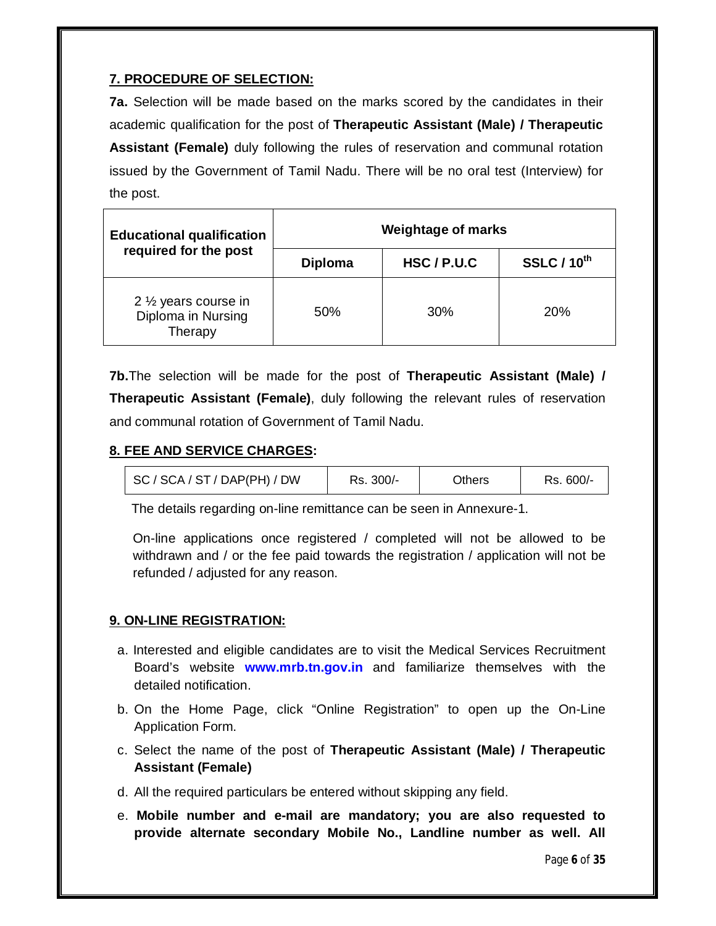# **7. PROCEDURE OF SELECTION:**

**7a.** Selection will be made based on the marks scored by the candidates in their academic qualification for the post of **Therapeutic Assistant (Male) / Therapeutic Assistant (Female)** duly following the rules of reservation and communal rotation issued by the Government of Tamil Nadu. There will be no oral test (Interview) for the post.

| <b>Educational qualification</b>                                   | Weightage of marks |             |                    |  |
|--------------------------------------------------------------------|--------------------|-------------|--------------------|--|
| required for the post                                              | <b>Diploma</b>     | HSC / P.U.C | <b>SSLC / 10th</b> |  |
| 2 1/ <sub>2</sub> years course in<br>Diploma in Nursing<br>Therapy | 50%                | 30%         | 20%                |  |

**7b.**The selection will be made for the post of **Therapeutic Assistant (Male) / Therapeutic Assistant (Female)**, duly following the relevant rules of reservation and communal rotation of Government of Tamil Nadu.

# **8. FEE AND SERVICE CHARGES:**

| SC / SCA / ST / DAP(PH) / DW | Rs. 300/- | Others | Rs. 600/- |
|------------------------------|-----------|--------|-----------|
|------------------------------|-----------|--------|-----------|

The details regarding on-line remittance can be seen in Annexure-1.

On-line applications once registered / completed will not be allowed to be withdrawn and / or the fee paid towards the registration / application will not be refunded / adjusted for any reason.

# **9. ON-LINE REGISTRATION:**

- a. Interested and eligible candidates are to visit the Medical Services Recruitment Board's website **www.mrb.tn.gov.in** and familiarize themselves with the detailed notification.
- b. On the Home Page, click "Online Registration" to open up the On-Line Application Form.
- c. Select the name of the post of **Therapeutic Assistant (Male) / Therapeutic Assistant (Female)**
- d. All the required particulars be entered without skipping any field.
- e. **Mobile number and e-mail are mandatory; you are also requested to provide alternate secondary Mobile No., Landline number as well. All**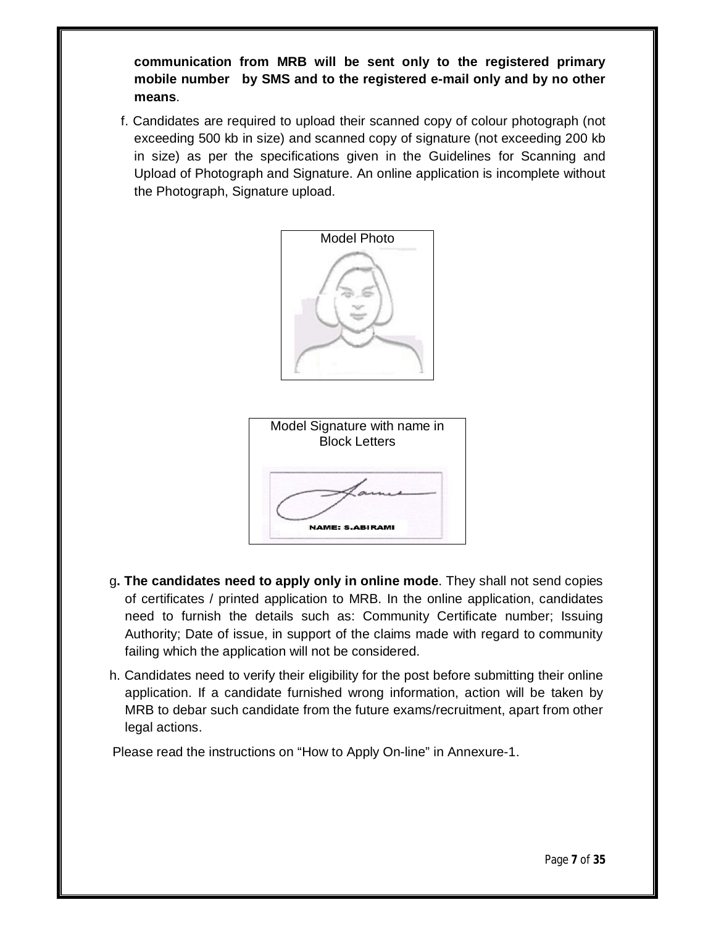**communication from MRB will be sent only to the registered primary mobile number by SMS and to the registered e-mail only and by no other means**.

f. Candidates are required to upload their scanned copy of colour photograph (not exceeding 500 kb in size) and scanned copy of signature (not exceeding 200 kb in size) as per the specifications given in the Guidelines for Scanning and Upload of Photograph and Signature. An online application is incomplete without the Photograph, Signature upload.



- g**. The candidates need to apply only in online mode**. They shall not send copies of certificates / printed application to MRB. In the online application, candidates need to furnish the details such as: Community Certificate number; Issuing Authority; Date of issue, in support of the claims made with regard to community failing which the application will not be considered.
- h. Candidates need to verify their eligibility for the post before submitting their online application. If a candidate furnished wrong information, action will be taken by MRB to debar such candidate from the future exams/recruitment, apart from other legal actions.

Please read the instructions on "How to Apply On-line" in Annexure-1.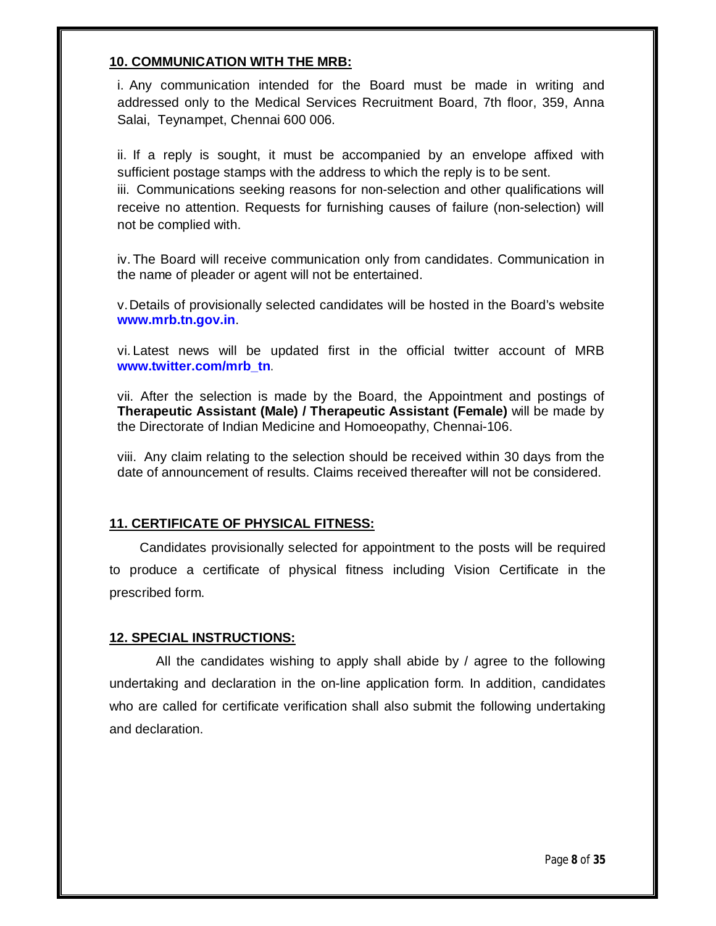#### **10. COMMUNICATION WITH THE MRB:**

i. Any communication intended for the Board must be made in writing and addressed only to the Medical Services Recruitment Board, 7th floor, 359, Anna Salai, Teynampet, Chennai 600 006.

ii. If a reply is sought, it must be accompanied by an envelope affixed with sufficient postage stamps with the address to which the reply is to be sent.

iii. Communications seeking reasons for non-selection and other qualifications will receive no attention. Requests for furnishing causes of failure (non-selection) will not be complied with.

iv. The Board will receive communication only from candidates. Communication in the name of pleader or agent will not be entertained.

v.Details of provisionally selected candidates will be hosted in the Board's website **www.mrb.tn.gov.in**.

vi. Latest news will be updated first in the official twitter account of MRB **www.twitter.com/mrb\_tn**.

vii. After the selection is made by the Board, the Appointment and postings of **Therapeutic Assistant (Male) / Therapeutic Assistant (Female)** will be made by the Directorate of Indian Medicine and Homoeopathy, Chennai-106.

viii. Any claim relating to the selection should be received within 30 days from the date of announcement of results. Claims received thereafter will not be considered.

# **11. CERTIFICATE OF PHYSICAL FITNESS:**

 Candidates provisionally selected for appointment to the posts will be required to produce a certificate of physical fitness including Vision Certificate in the prescribed form.

# **12. SPECIAL INSTRUCTIONS:**

All the candidates wishing to apply shall abide by / agree to the following undertaking and declaration in the on-line application form. In addition, candidates who are called for certificate verification shall also submit the following undertaking and declaration.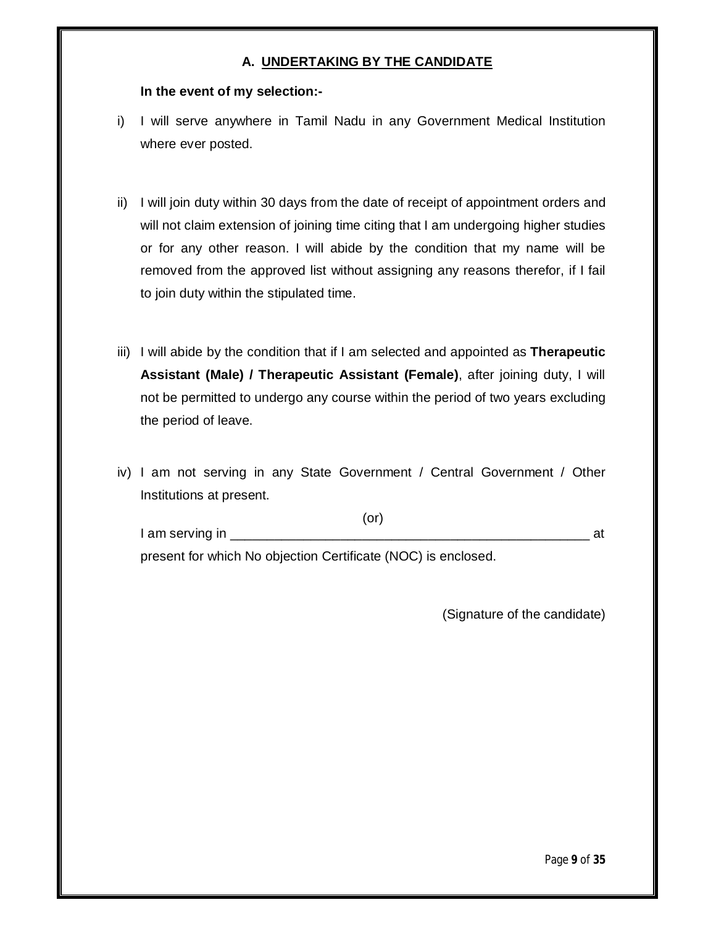### **A. UNDERTAKING BY THE CANDIDATE**

#### **In the event of my selection:-**

- i) I will serve anywhere in Tamil Nadu in any Government Medical Institution where ever posted.
- ii) I will join duty within 30 days from the date of receipt of appointment orders and will not claim extension of joining time citing that I am undergoing higher studies or for any other reason. I will abide by the condition that my name will be removed from the approved list without assigning any reasons therefor, if I fail to join duty within the stipulated time.
- iii) I will abide by the condition that if I am selected and appointed as **Therapeutic Assistant (Male) / Therapeutic Assistant (Female)**, after joining duty, I will not be permitted to undergo any course within the period of two years excluding the period of leave.
- iv) I am not serving in any State Government / Central Government / Other Institutions at present.

(or) I am serving in \_\_\_\_\_\_\_\_\_\_\_\_\_\_\_\_\_\_\_\_\_\_\_\_\_\_\_\_\_\_\_\_\_\_\_\_\_\_\_\_\_\_\_\_\_\_\_\_\_ at present for which No objection Certificate (NOC) is enclosed.

(Signature of the candidate)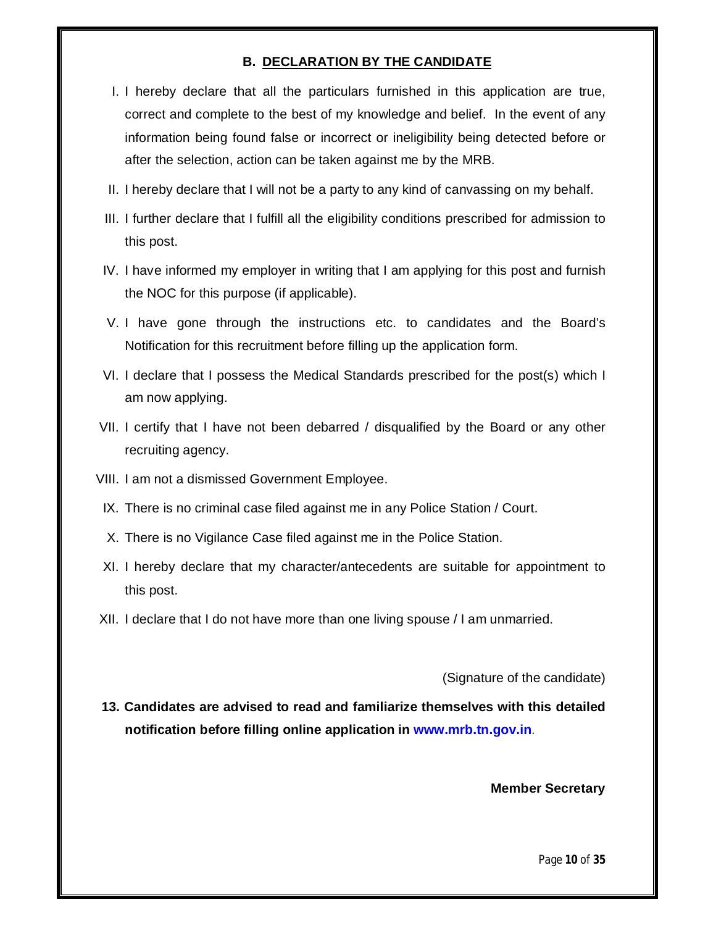#### **B. DECLARATION BY THE CANDIDATE**

- I. I hereby declare that all the particulars furnished in this application are true, correct and complete to the best of my knowledge and belief. In the event of any information being found false or incorrect or ineligibility being detected before or after the selection, action can be taken against me by the MRB.
- II. I hereby declare that I will not be a party to any kind of canvassing on my behalf.
- III. I further declare that I fulfill all the eligibility conditions prescribed for admission to this post.
- IV. I have informed my employer in writing that I am applying for this post and furnish the NOC for this purpose (if applicable).
- V. I have gone through the instructions etc. to candidates and the Board's Notification for this recruitment before filling up the application form.
- VI. I declare that I possess the Medical Standards prescribed for the post(s) which I am now applying.
- VII. I certify that I have not been debarred / disqualified by the Board or any other recruiting agency.
- VIII. I am not a dismissed Government Employee.
- IX. There is no criminal case filed against me in any Police Station / Court.
- X. There is no Vigilance Case filed against me in the Police Station.
- XI. I hereby declare that my character/antecedents are suitable for appointment to this post.
- XII. I declare that I do not have more than one living spouse / I am unmarried.

(Signature of the candidate)

**13. Candidates are advised to read and familiarize themselves with this detailed notification before filling online application in www.mrb.tn.gov.in**.

**Member Secretary**

Page **10** of **35**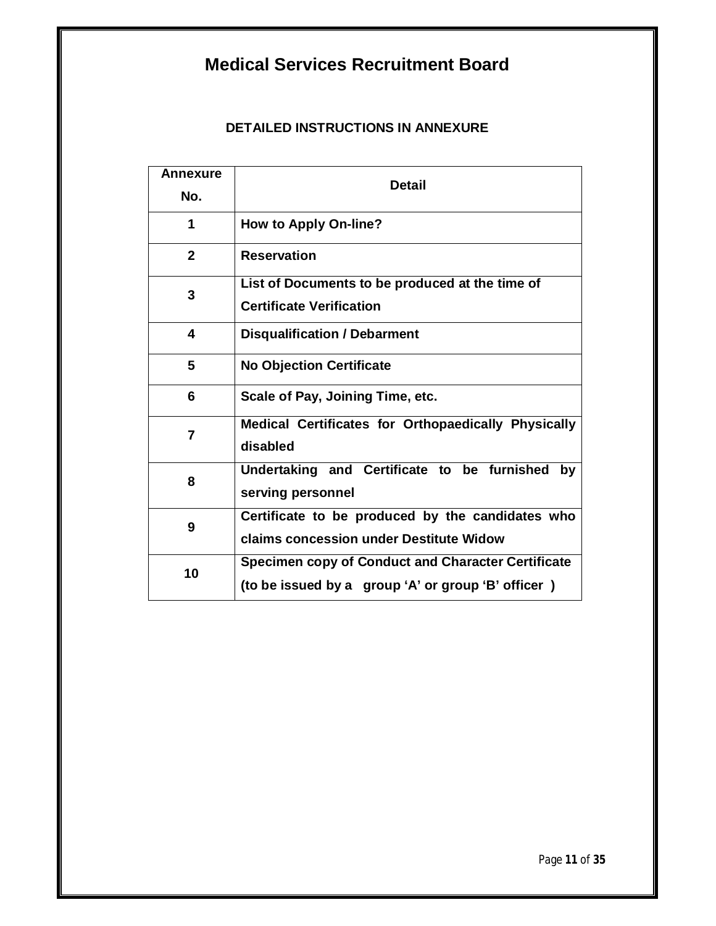# **Medical Services Recruitment Board**

# **DETAILED INSTRUCTIONS IN ANNEXURE**

| <b>Annexure</b><br>No. | <b>Detail</b>                                                                                                   |
|------------------------|-----------------------------------------------------------------------------------------------------------------|
| 1                      | <b>How to Apply On-line?</b>                                                                                    |
| $\mathbf{2}$           | <b>Reservation</b>                                                                                              |
| 3                      | List of Documents to be produced at the time of<br><b>Certificate Verification</b>                              |
| 4                      | <b>Disqualification / Debarment</b>                                                                             |
| 5                      | <b>No Objection Certificate</b>                                                                                 |
| 6                      | Scale of Pay, Joining Time, etc.                                                                                |
| 7                      | Medical Certificates for Orthopaedically Physically<br>disabled                                                 |
| 8                      | Undertaking and Certificate to be furnished by<br>serving personnel                                             |
| 9                      | Certificate to be produced by the candidates who<br>claims concession under Destitute Widow                     |
| 10                     | <b>Specimen copy of Conduct and Character Certificate</b><br>(to be issued by a group 'A' or group 'B' officer) |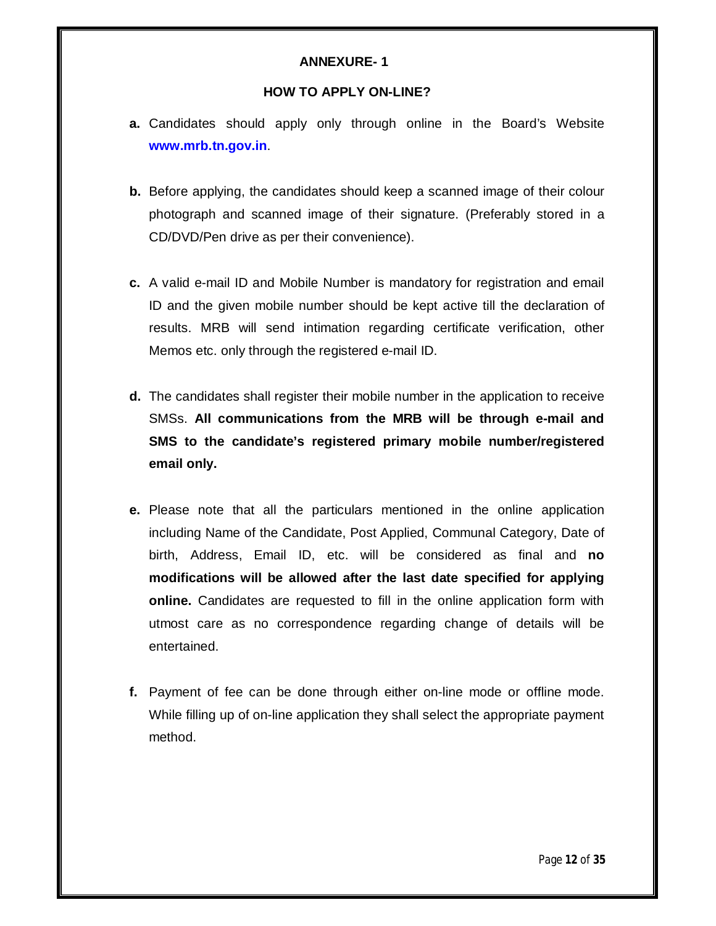#### **HOW TO APPLY ON-LINE?**

- **a.** Candidates should apply only through online in the Board's Website **www.mrb.tn.gov.in**.
- **b.** Before applying, the candidates should keep a scanned image of their colour photograph and scanned image of their signature. (Preferably stored in a CD/DVD/Pen drive as per their convenience).
- **c.** A valid e-mail ID and Mobile Number is mandatory for registration and email ID and the given mobile number should be kept active till the declaration of results. MRB will send intimation regarding certificate verification, other Memos etc. only through the registered e-mail ID.
- **d.** The candidates shall register their mobile number in the application to receive SMSs. **All communications from the MRB will be through e-mail and SMS to the candidate's registered primary mobile number/registered email only.**
- **e.** Please note that all the particulars mentioned in the online application including Name of the Candidate, Post Applied, Communal Category, Date of birth, Address, Email ID, etc. will be considered as final and **no modifications will be allowed after the last date specified for applying online.** Candidates are requested to fill in the online application form with utmost care as no correspondence regarding change of details will be entertained.
- **f.** Payment of fee can be done through either on-line mode or offline mode. While filling up of on-line application they shall select the appropriate payment method.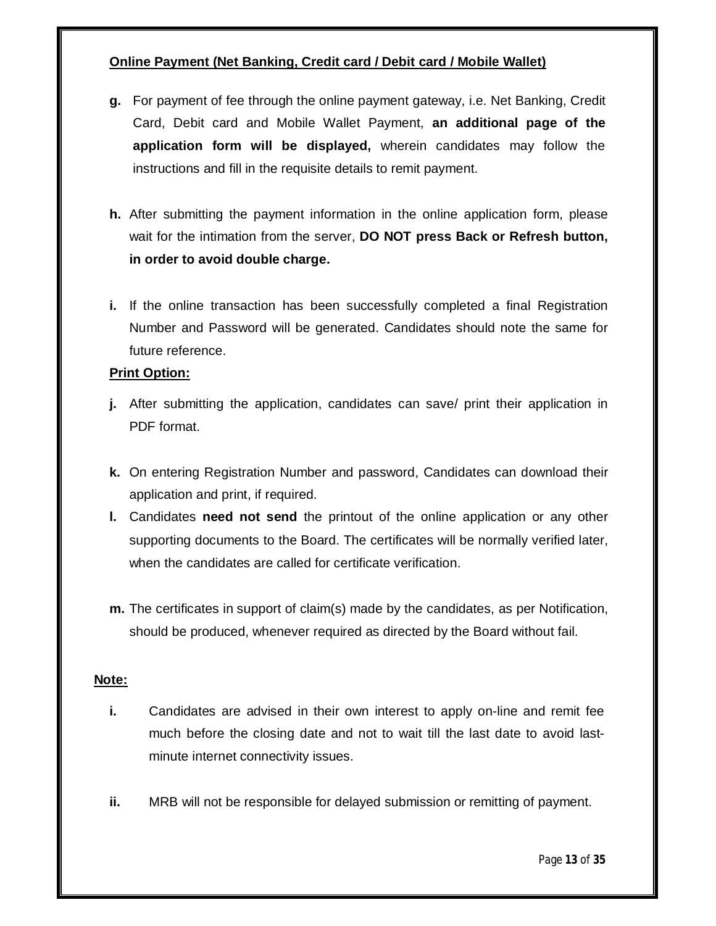# **Online Payment (Net Banking, Credit card / Debit card / Mobile Wallet)**

- **g.** For payment of fee through the online payment gateway, i.e. Net Banking, Credit Card, Debit card and Mobile Wallet Payment, **an additional page of the application form will be displayed,** wherein candidates may follow the instructions and fill in the requisite details to remit payment.
- **h.** After submitting the payment information in the online application form, please wait for the intimation from the server, **DO NOT press Back or Refresh button, in order to avoid double charge.**
- **i.** If the online transaction has been successfully completed a final Registration Number and Password will be generated. Candidates should note the same for future reference.

#### **Print Option:**

- **j.** After submitting the application, candidates can save/ print their application in PDF format.
- **k.** On entering Registration Number and password, Candidates can download their application and print, if required.
- **l.** Candidates **need not send** the printout of the online application or any other supporting documents to the Board. The certificates will be normally verified later, when the candidates are called for certificate verification.
- **m.** The certificates in support of claim(s) made by the candidates, as per Notification, should be produced, whenever required as directed by the Board without fail.

#### **Note:**

- **i.** Candidates are advised in their own interest to apply on-line and remit fee much before the closing date and not to wait till the last date to avoid lastminute internet connectivity issues.
- **ii.** MRB will not be responsible for delayed submission or remitting of payment.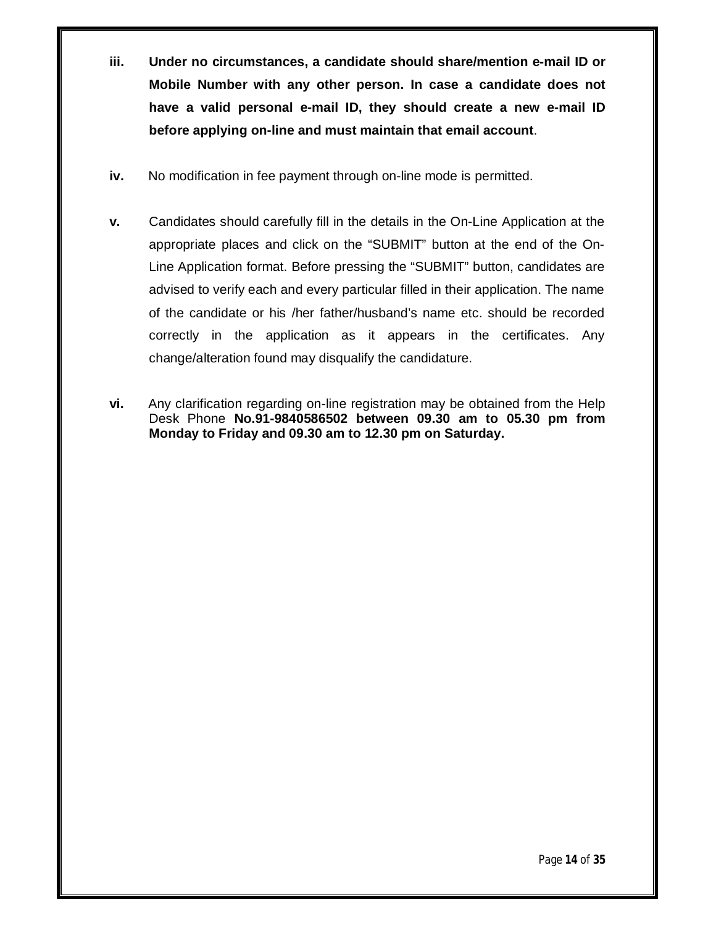- **iii. Under no circumstances, a candidate should share/mention e-mail ID or Mobile Number with any other person. In case a candidate does not have a valid personal e-mail ID, they should create a new e-mail ID before applying on-line and must maintain that email account**.
- **iv.** No modification in fee payment through on-line mode is permitted.
- **v.** Candidates should carefully fill in the details in the On-Line Application at the appropriate places and click on the "SUBMIT" button at the end of the On-Line Application format. Before pressing the "SUBMIT" button, candidates are advised to verify each and every particular filled in their application. The name of the candidate or his /her father/husband's name etc. should be recorded correctly in the application as it appears in the certificates. Any change/alteration found may disqualify the candidature.
- **vi.** Any clarification regarding on-line registration may be obtained from the Help Desk Phone **No.91-9840586502 between 09.30 am to 05.30 pm from Monday to Friday and 09.30 am to 12.30 pm on Saturday.**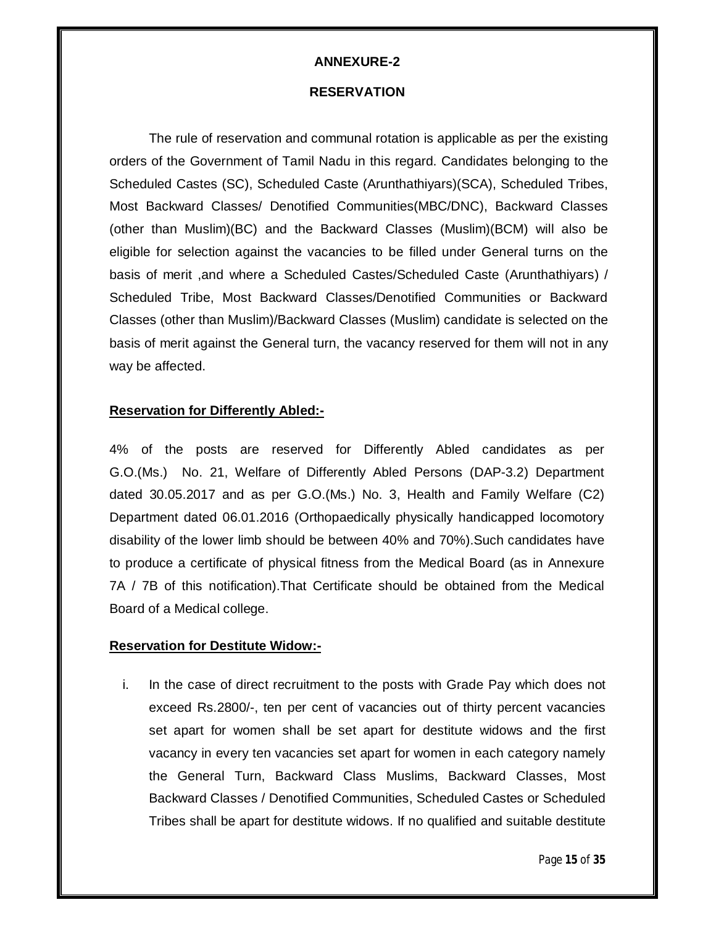#### **RESERVATION**

The rule of reservation and communal rotation is applicable as per the existing orders of the Government of Tamil Nadu in this regard. Candidates belonging to the Scheduled Castes (SC), Scheduled Caste (Arunthathiyars)(SCA), Scheduled Tribes, Most Backward Classes/ Denotified Communities(MBC/DNC), Backward Classes (other than Muslim)(BC) and the Backward Classes (Muslim)(BCM) will also be eligible for selection against the vacancies to be filled under General turns on the basis of merit ,and where a Scheduled Castes/Scheduled Caste (Arunthathiyars) / Scheduled Tribe, Most Backward Classes/Denotified Communities or Backward Classes (other than Muslim)/Backward Classes (Muslim) candidate is selected on the basis of merit against the General turn, the vacancy reserved for them will not in any way be affected.

#### **Reservation for Differently Abled:-**

4% of the posts are reserved for Differently Abled candidates as per G.O.(Ms.) No. 21, Welfare of Differently Abled Persons (DAP-3.2) Department dated 30.05.2017 and as per G.O.(Ms.) No. 3, Health and Family Welfare (C2) Department dated 06.01.2016 (Orthopaedically physically handicapped locomotory disability of the lower limb should be between 40% and 70%).Such candidates have to produce a certificate of physical fitness from the Medical Board (as in Annexure 7A / 7B of this notification).That Certificate should be obtained from the Medical Board of a Medical college.

#### **Reservation for Destitute Widow:-**

i. In the case of direct recruitment to the posts with Grade Pay which does not exceed Rs.2800/-, ten per cent of vacancies out of thirty percent vacancies set apart for women shall be set apart for destitute widows and the first vacancy in every ten vacancies set apart for women in each category namely the General Turn, Backward Class Muslims, Backward Classes, Most Backward Classes / Denotified Communities, Scheduled Castes or Scheduled Tribes shall be apart for destitute widows. If no qualified and suitable destitute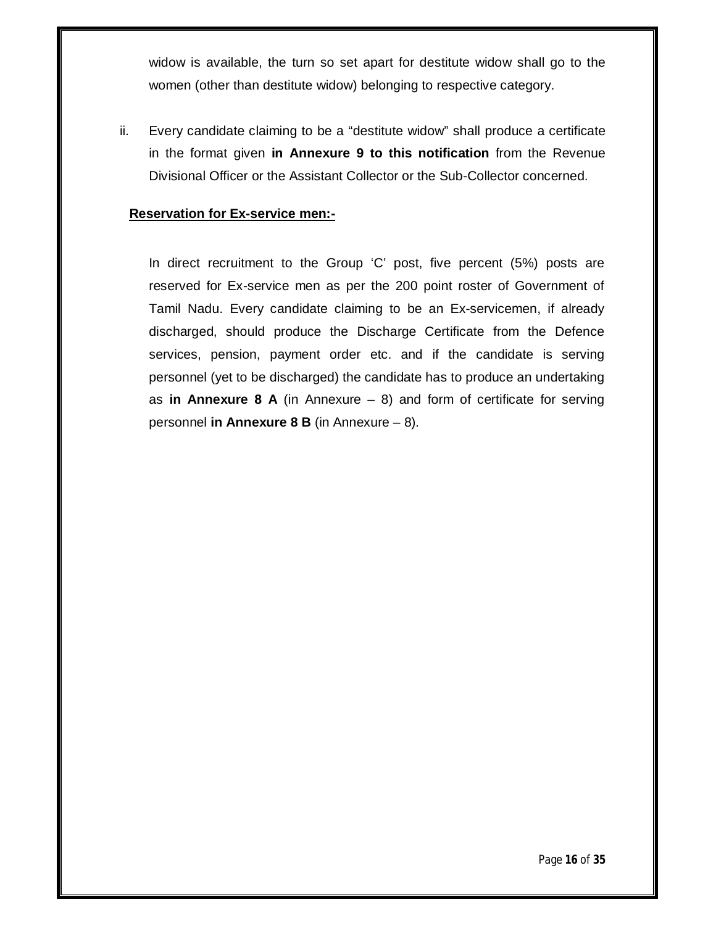widow is available, the turn so set apart for destitute widow shall go to the women (other than destitute widow) belonging to respective category.

ii. Every candidate claiming to be a "destitute widow" shall produce a certificate in the format given **in Annexure 9 to this notification** from the Revenue Divisional Officer or the Assistant Collector or the Sub-Collector concerned.

#### **Reservation for Ex-service men:-**

In direct recruitment to the Group 'C' post, five percent (5%) posts are reserved for Ex-service men as per the 200 point roster of Government of Tamil Nadu. Every candidate claiming to be an Ex-servicemen, if already discharged, should produce the Discharge Certificate from the Defence services, pension, payment order etc. and if the candidate is serving personnel (yet to be discharged) the candidate has to produce an undertaking as **in Annexure 8 A** (in Annexure  $-$  8) and form of certificate for serving personnel **in Annexure 8 B** (in Annexure – 8).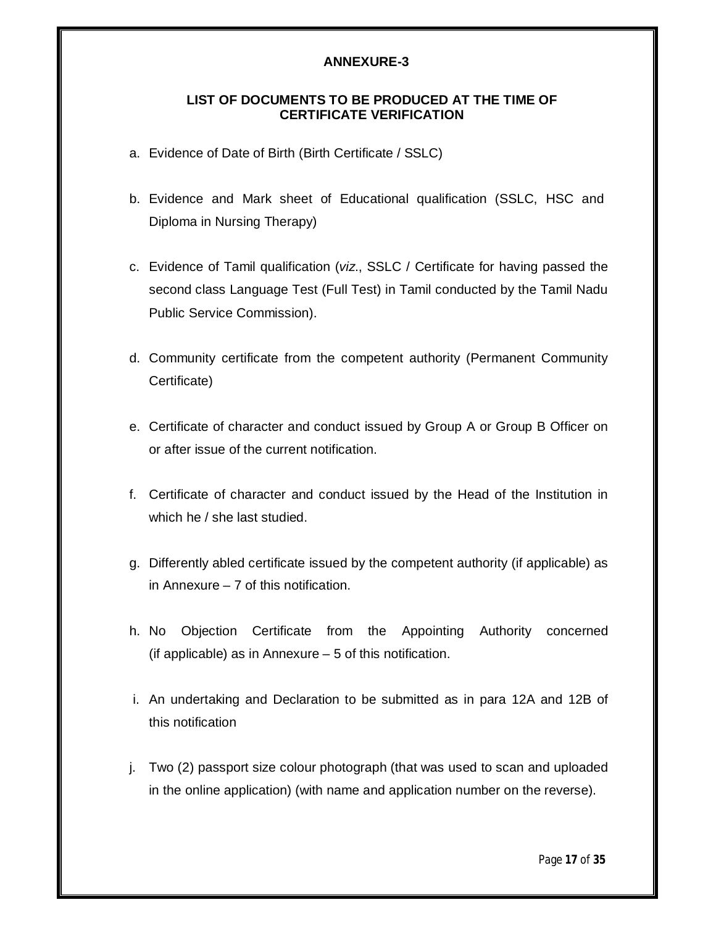#### **LIST OF DOCUMENTS TO BE PRODUCED AT THE TIME OF CERTIFICATE VERIFICATION**

- a. Evidence of Date of Birth (Birth Certificate / SSLC)
- b. Evidence and Mark sheet of Educational qualification (SSLC, HSC and Diploma in Nursing Therapy)
- c. Evidence of Tamil qualification (*viz*., SSLC / Certificate for having passed the second class Language Test (Full Test) in Tamil conducted by the Tamil Nadu Public Service Commission).
- d. Community certificate from the competent authority (Permanent Community Certificate)
- e. Certificate of character and conduct issued by Group A or Group B Officer on or after issue of the current notification.
- f. Certificate of character and conduct issued by the Head of the Institution in which he / she last studied.
- g. Differently abled certificate issued by the competent authority (if applicable) as in Annexure – 7 of this notification.
- h. No Objection Certificate from the Appointing Authority concerned (if applicable) as in Annexure  $-5$  of this notification.
- i. An undertaking and Declaration to be submitted as in para 12A and 12B of this notification
- j. Two (2) passport size colour photograph (that was used to scan and uploaded in the online application) (with name and application number on the reverse).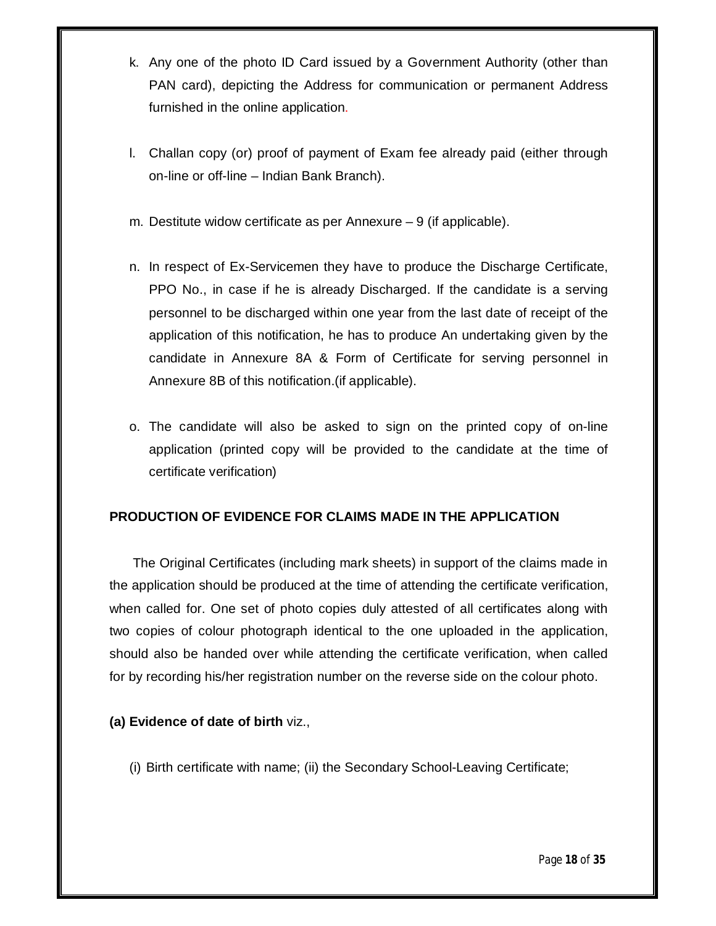- k. Any one of the photo ID Card issued by a Government Authority (other than PAN card), depicting the Address for communication or permanent Address furnished in the online application.
- l. Challan copy (or) proof of payment of Exam fee already paid (either through on-line or off-line – Indian Bank Branch).
- m. Destitute widow certificate as per Annexure 9 (if applicable).
- n. In respect of Ex-Servicemen they have to produce the Discharge Certificate, PPO No., in case if he is already Discharged. If the candidate is a serving personnel to be discharged within one year from the last date of receipt of the application of this notification, he has to produce An undertaking given by the candidate in Annexure 8A & Form of Certificate for serving personnel in Annexure 8B of this notification.(if applicable).
- o. The candidate will also be asked to sign on the printed copy of on-line application (printed copy will be provided to the candidate at the time of certificate verification)

# **PRODUCTION OF EVIDENCE FOR CLAIMS MADE IN THE APPLICATION**

The Original Certificates (including mark sheets) in support of the claims made in the application should be produced at the time of attending the certificate verification, when called for. One set of photo copies duly attested of all certificates along with two copies of colour photograph identical to the one uploaded in the application, should also be handed over while attending the certificate verification, when called for by recording his/her registration number on the reverse side on the colour photo.

# **(a) Evidence of date of birth** viz.,

(i) Birth certificate with name; (ii) the Secondary School-Leaving Certificate;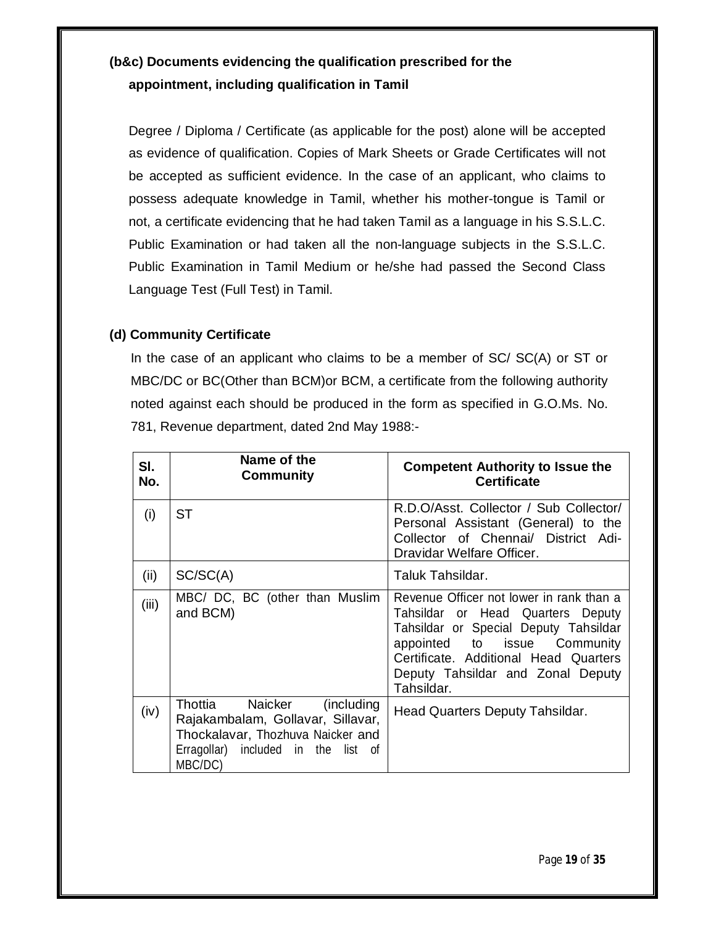# **(b&c) Documents evidencing the qualification prescribed for the appointment, including qualification in Tamil**

Degree / Diploma / Certificate (as applicable for the post) alone will be accepted as evidence of qualification. Copies of Mark Sheets or Grade Certificates will not be accepted as sufficient evidence. In the case of an applicant, who claims to possess adequate knowledge in Tamil, whether his mother-tongue is Tamil or not, a certificate evidencing that he had taken Tamil as a language in his S.S.L.C. Public Examination or had taken all the non-language subjects in the S.S.L.C. Public Examination in Tamil Medium or he/she had passed the Second Class Language Test (Full Test) in Tamil.

# **(d) Community Certificate**

In the case of an applicant who claims to be a member of SC/ SC(A) or ST or MBC/DC or BC(Other than BCM)or BCM, a certificate from the following authority noted against each should be produced in the form as specified in G.O.Ms. No. 781, Revenue department, dated 2nd May 1988:-

| SI.<br>No. | Name of the<br>Community                                                                                                                                   | <b>Competent Authority to Issue the</b><br><b>Certificate</b>                                                                                                                                                                                      |
|------------|------------------------------------------------------------------------------------------------------------------------------------------------------------|----------------------------------------------------------------------------------------------------------------------------------------------------------------------------------------------------------------------------------------------------|
| (i)        | ST                                                                                                                                                         | R.D.O/Asst. Collector / Sub Collector/<br>Personal Assistant (General) to the<br>Collector of Chennai/ District Adi-<br>Dravidar Welfare Officer.                                                                                                  |
| (ii)       | SC/SC(A)                                                                                                                                                   | Taluk Tahsildar.                                                                                                                                                                                                                                   |
| (iii)      | MBC/ DC, BC (other than Muslim<br>and BCM)                                                                                                                 | Revenue Officer not lower in rank than a<br>Tahsildar or Head Quarters Deputy<br>Tahsildar or Special Deputy Tahsildar<br>appointed to issue Community<br>Certificate. Additional Head Quarters<br>Deputy Tahsildar and Zonal Deputy<br>Tahsildar. |
| (iv)       | Thottia Naicker<br>(including)<br>Rajakambalam, Gollavar, Sillavar,<br>Thockalavar, Thozhuva Naicker and<br>Erragollar) included in the list of<br>MBC/DC) | Head Quarters Deputy Tahsildar.                                                                                                                                                                                                                    |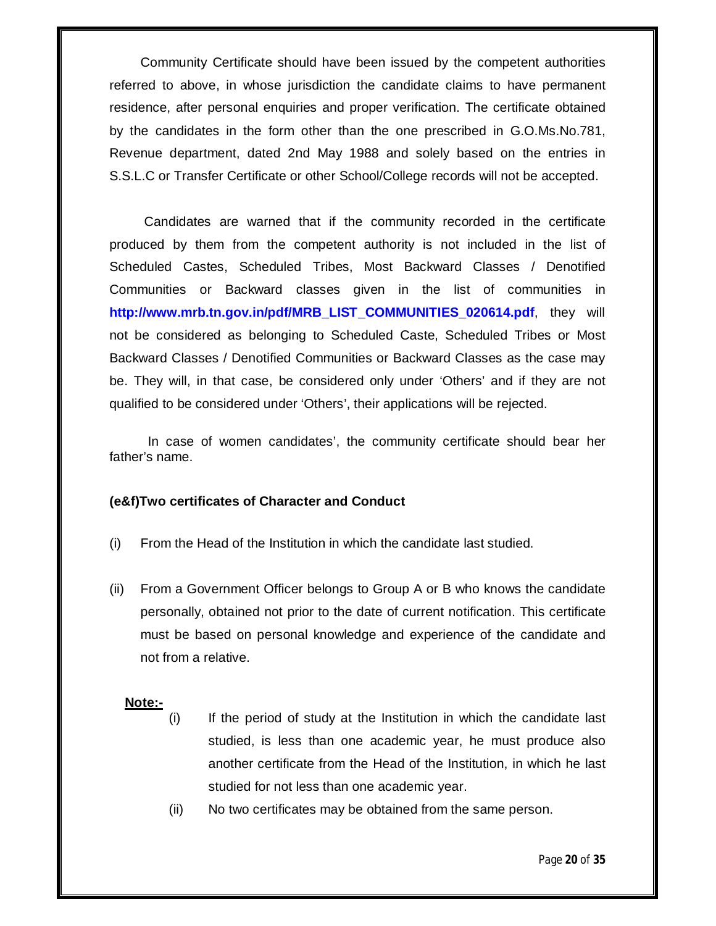Community Certificate should have been issued by the competent authorities referred to above, in whose jurisdiction the candidate claims to have permanent residence, after personal enquiries and proper verification. The certificate obtained by the candidates in the form other than the one prescribed in G.O.Ms.No.781, Revenue department, dated 2nd May 1988 and solely based on the entries in S.S.L.C or Transfer Certificate or other School/College records will not be accepted.

Candidates are warned that if the community recorded in the certificate produced by them from the competent authority is not included in the list of Scheduled Castes, Scheduled Tribes, Most Backward Classes / Denotified Communities or Backward classes given in the list of communities in **http://www.mrb.tn.gov.in/pdf/MRB\_LIST\_COMMUNITIES\_020614.pdf**, they will not be considered as belonging to Scheduled Caste, Scheduled Tribes or Most Backward Classes / Denotified Communities or Backward Classes as the case may be. They will, in that case, be considered only under 'Others' and if they are not qualified to be considered under 'Others', their applications will be rejected.

 In case of women candidates', the community certificate should bear her father's name.

#### **(e&f)Two certificates of Character and Conduct**

- (i) From the Head of the Institution in which the candidate last studied.
- (ii) From a Government Officer belongs to Group A or B who knows the candidate personally, obtained not prior to the date of current notification. This certificate must be based on personal knowledge and experience of the candidate and not from a relative.

#### **Note:-**

- (i) If the period of study at the Institution in which the candidate last studied, is less than one academic year, he must produce also another certificate from the Head of the Institution, in which he last studied for not less than one academic year.
- (ii) No two certificates may be obtained from the same person.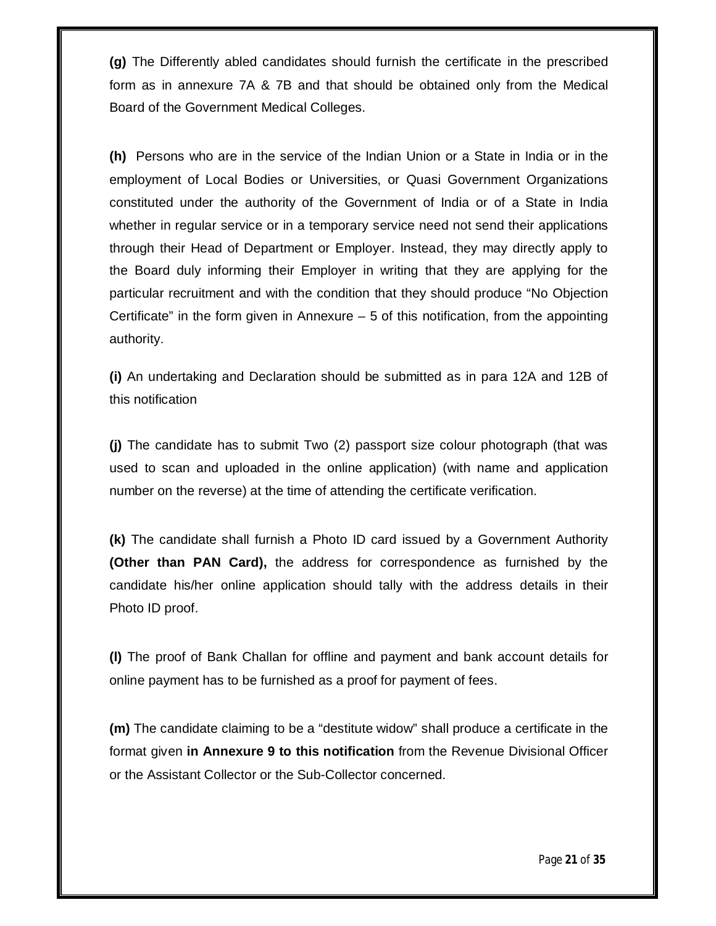**(g)** The Differently abled candidates should furnish the certificate in the prescribed form as in annexure 7A & 7B and that should be obtained only from the Medical Board of the Government Medical Colleges.

**(h)** Persons who are in the service of the Indian Union or a State in India or in the employment of Local Bodies or Universities, or Quasi Government Organizations constituted under the authority of the Government of India or of a State in India whether in regular service or in a temporary service need not send their applications through their Head of Department or Employer. Instead, they may directly apply to the Board duly informing their Employer in writing that they are applying for the particular recruitment and with the condition that they should produce "No Objection Certificate" in the form given in Annexure  $-5$  of this notification, from the appointing authority.

**(i)** An undertaking and Declaration should be submitted as in para 12A and 12B of this notification

**(j)** The candidate has to submit Two (2) passport size colour photograph (that was used to scan and uploaded in the online application) (with name and application number on the reverse) at the time of attending the certificate verification.

**(k)** The candidate shall furnish a Photo ID card issued by a Government Authority **(Other than PAN Card),** the address for correspondence as furnished by the candidate his/her online application should tally with the address details in their Photo ID proof.

**(l)** The proof of Bank Challan for offline and payment and bank account details for online payment has to be furnished as a proof for payment of fees.

**(m)** The candidate claiming to be a "destitute widow" shall produce a certificate in the format given **in Annexure 9 to this notification** from the Revenue Divisional Officer or the Assistant Collector or the Sub-Collector concerned.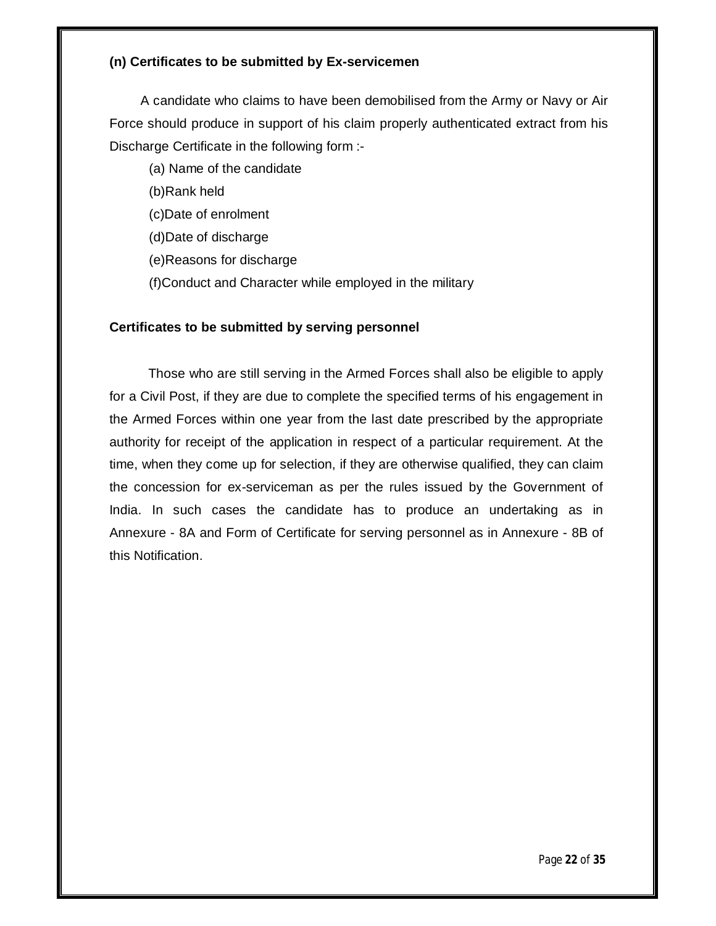#### **(n) Certificates to be submitted by Ex-servicemen**

A candidate who claims to have been demobilised from the Army or Navy or Air Force should produce in support of his claim properly authenticated extract from his Discharge Certificate in the following form :-

(a) Name of the candidate

(b)Rank held

(c)Date of enrolment

(d)Date of discharge

(e)Reasons for discharge

(f)Conduct and Character while employed in the military

# **Certificates to be submitted by serving personnel**

Those who are still serving in the Armed Forces shall also be eligible to apply for a Civil Post, if they are due to complete the specified terms of his engagement in the Armed Forces within one year from the last date prescribed by the appropriate authority for receipt of the application in respect of a particular requirement. At the time, when they come up for selection, if they are otherwise qualified, they can claim the concession for ex-serviceman as per the rules issued by the Government of India. In such cases the candidate has to produce an undertaking as in Annexure - 8A and Form of Certificate for serving personnel as in Annexure - 8B of this Notification.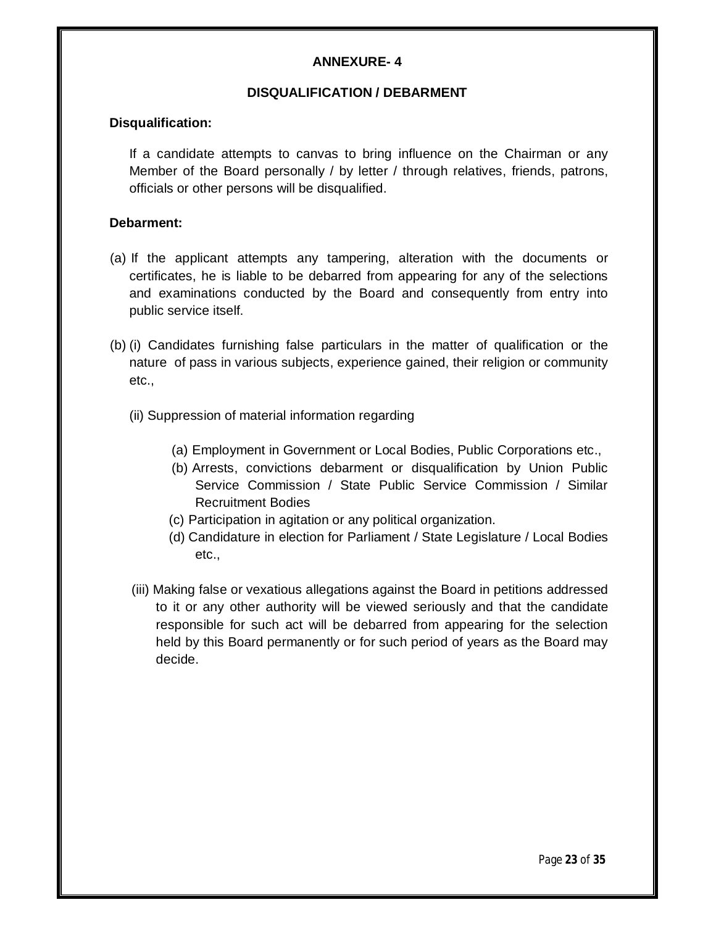#### **DISQUALIFICATION / DEBARMENT**

#### **Disqualification:**

If a candidate attempts to canvas to bring influence on the Chairman or any Member of the Board personally / by letter / through relatives, friends, patrons, officials or other persons will be disqualified.

#### **Debarment:**

- (a) If the applicant attempts any tampering, alteration with the documents or certificates, he is liable to be debarred from appearing for any of the selections and examinations conducted by the Board and consequently from entry into public service itself.
- (b) (i) Candidates furnishing false particulars in the matter of qualification or the nature of pass in various subjects, experience gained, their religion or community etc.,
	- (ii) Suppression of material information regarding
		- (a) Employment in Government or Local Bodies, Public Corporations etc.,
		- (b) Arrests, convictions debarment or disqualification by Union Public Service Commission / State Public Service Commission / Similar Recruitment Bodies
		- (c) Participation in agitation or any political organization.
		- (d) Candidature in election for Parliament / State Legislature / Local Bodies etc.,
	- (iii) Making false or vexatious allegations against the Board in petitions addressed to it or any other authority will be viewed seriously and that the candidate responsible for such act will be debarred from appearing for the selection held by this Board permanently or for such period of years as the Board may decide.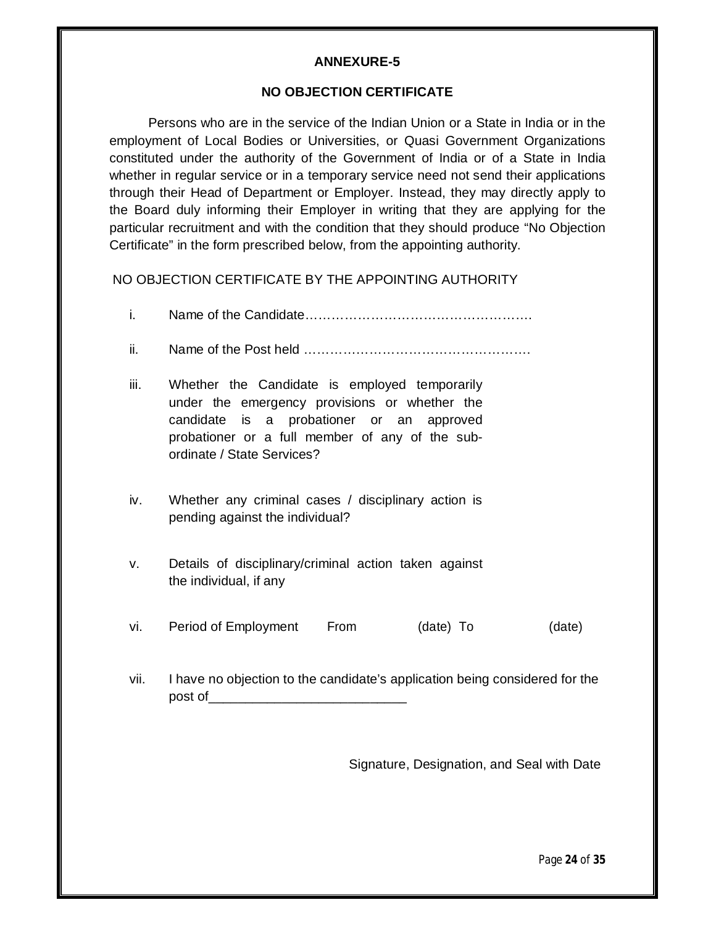#### **NO OBJECTION CERTIFICATE**

Persons who are in the service of the Indian Union or a State in India or in the employment of Local Bodies or Universities, or Quasi Government Organizations constituted under the authority of the Government of India or of a State in India whether in regular service or in a temporary service need not send their applications through their Head of Department or Employer. Instead, they may directly apply to the Board duly informing their Employer in writing that they are applying for the particular recruitment and with the condition that they should produce "No Objection Certificate" in the form prescribed below, from the appointing authority.

NO OBJECTION CERTIFICATE BY THE APPOINTING AUTHORITY

- i. Name of the Candidate…………………………………………….
- ii. Name of the Post held …………………………………………….
- iii. Whether the Candidate is employed temporarily under the emergency provisions or whether the candidate is a probationer or an approved probationer or a full member of any of the subordinate / State Services?
- iv. Whether any criminal cases / disciplinary action is pending against the individual?
- v. Details of disciplinary/criminal action taken against the individual, if any
- vi. Period of Employment From (date) To (date)
- vii. I have no objection to the candidate's application being considered for the post of

Signature, Designation, and Seal with Date

Page **24** of **35**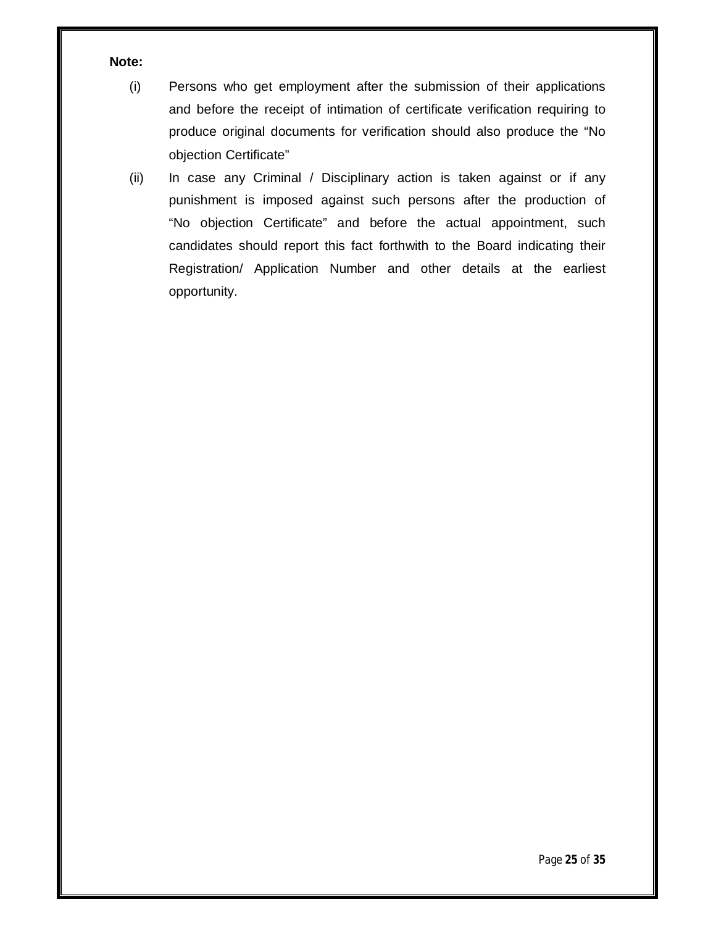#### **Note:**

- (i) Persons who get employment after the submission of their applications and before the receipt of intimation of certificate verification requiring to produce original documents for verification should also produce the "No objection Certificate"
- (ii) In case any Criminal / Disciplinary action is taken against or if any punishment is imposed against such persons after the production of "No objection Certificate" and before the actual appointment, such candidates should report this fact forthwith to the Board indicating their Registration/ Application Number and other details at the earliest opportunity.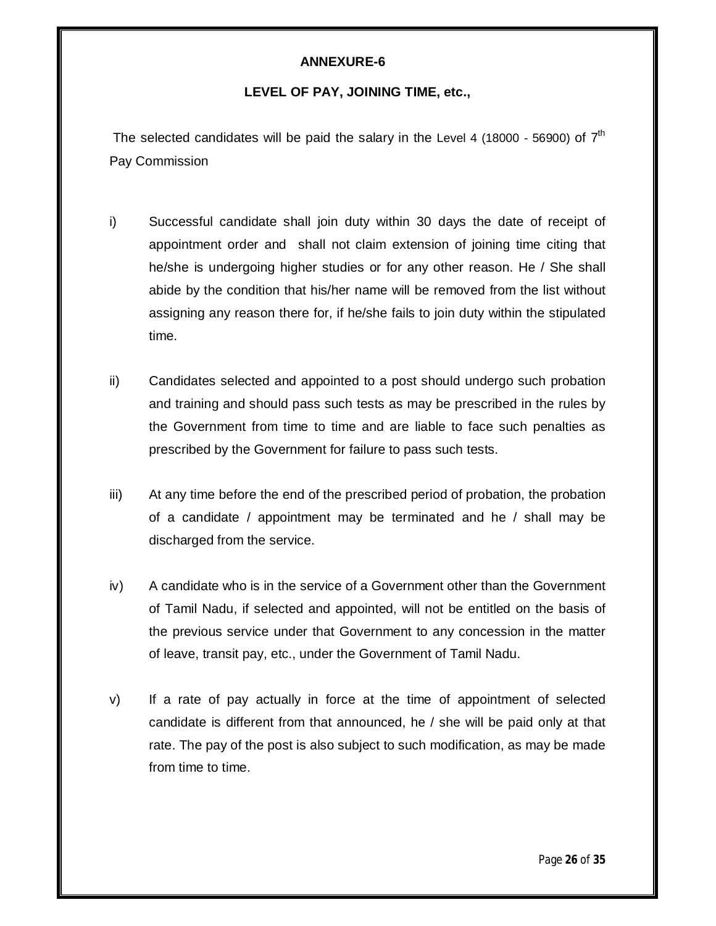#### **LEVEL OF PAY, JOINING TIME, etc.,**

The selected candidates will be paid the salary in the Level 4 (18000 - 56900) of  $7<sup>th</sup>$ Pay Commission

- i) Successful candidate shall join duty within 30 days the date of receipt of appointment order and shall not claim extension of joining time citing that he/she is undergoing higher studies or for any other reason. He / She shall abide by the condition that his/her name will be removed from the list without assigning any reason there for, if he/she fails to join duty within the stipulated time.
- ii) Candidates selected and appointed to a post should undergo such probation and training and should pass such tests as may be prescribed in the rules by the Government from time to time and are liable to face such penalties as prescribed by the Government for failure to pass such tests.
- iii) At any time before the end of the prescribed period of probation, the probation of a candidate / appointment may be terminated and he / shall may be discharged from the service.
- iv) A candidate who is in the service of a Government other than the Government of Tamil Nadu, if selected and appointed, will not be entitled on the basis of the previous service under that Government to any concession in the matter of leave, transit pay, etc., under the Government of Tamil Nadu.
- v) If a rate of pay actually in force at the time of appointment of selected candidate is different from that announced, he / she will be paid only at that rate. The pay of the post is also subject to such modification, as may be made from time to time.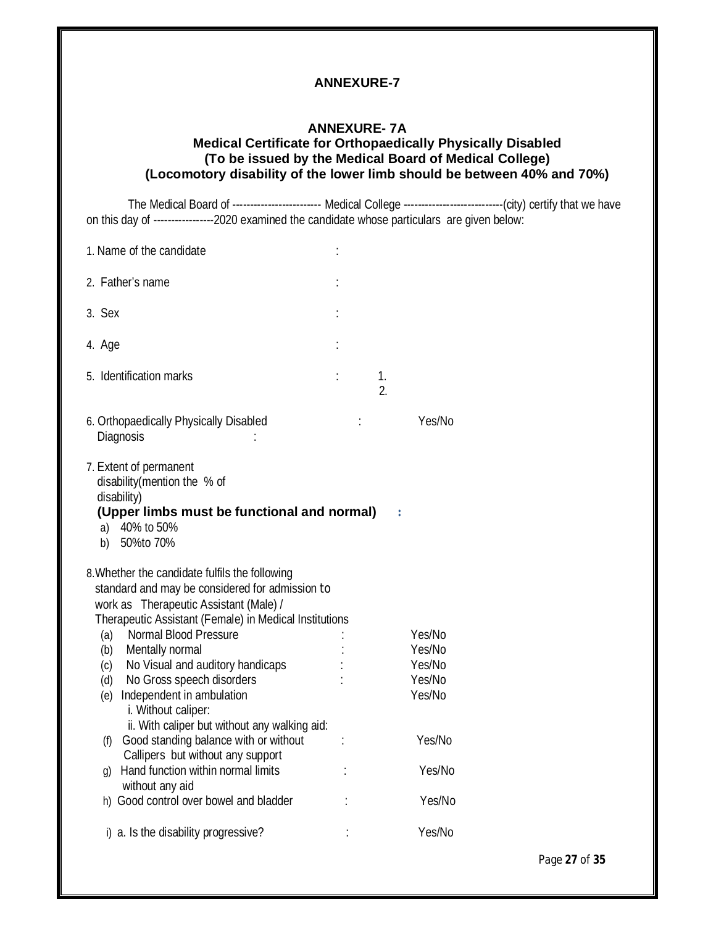#### **ANNEXURE- 7A Medical Certificate for Orthopaedically Physically Disabled (To be issued by the Medical Board of Medical College) (Locomotory disability of the lower limb should be between 40% and 70%)**

The Medical Board of ------------------------- Medical College --------------------------------(city) certify that we have on this day of -----------------2020 examined the candidate whose particulars are given below:

| 1. Name of the candidate                                                                                                                                                                                                                                                                                                                                               |  |          |                                                |
|------------------------------------------------------------------------------------------------------------------------------------------------------------------------------------------------------------------------------------------------------------------------------------------------------------------------------------------------------------------------|--|----------|------------------------------------------------|
| 2. Father's name                                                                                                                                                                                                                                                                                                                                                       |  |          |                                                |
| 3. Sex                                                                                                                                                                                                                                                                                                                                                                 |  |          |                                                |
| 4. Age                                                                                                                                                                                                                                                                                                                                                                 |  |          |                                                |
| 5. Identification marks                                                                                                                                                                                                                                                                                                                                                |  | 1.<br>2. |                                                |
| 6. Orthopaedically Physically Disabled<br>Diagnosis                                                                                                                                                                                                                                                                                                                    |  |          | Yes/No                                         |
| 7. Extent of permanent<br>disability (mention the % of<br>disability)<br>(Upper limbs must be functional and normal)<br>a) 40% to 50%<br>b) 50%to 70%                                                                                                                                                                                                                  |  |          |                                                |
| 8. Whether the candidate fulfils the following<br>standard and may be considered for admission to<br>work as Therapeutic Assistant (Male) /<br>Therapeutic Assistant (Female) in Medical Institutions<br>Normal Blood Pressure<br>(a)<br>(b) Mentally normal<br>(c) No Visual and auditory handicaps<br>(d) No Gross speech disorders<br>(e) Independent in ambulation |  |          | Yes/No<br>Yes/No<br>Yes/No<br>Yes/No<br>Yes/No |
| i. Without caliper:<br>ii. With caliper but without any walking aid:<br>Good standing balance with or without<br>(f)<br>Callipers but without any support<br>Hand function within normal limits<br>$\mathfrak{g}$<br>without any aid<br>h) Good control over bowel and bladder                                                                                         |  |          | Yes/No<br>Yes/No<br>Yes/No                     |
| i) a. Is the disability progressive?                                                                                                                                                                                                                                                                                                                                   |  |          | Yes/No                                         |

Page **27** of **35**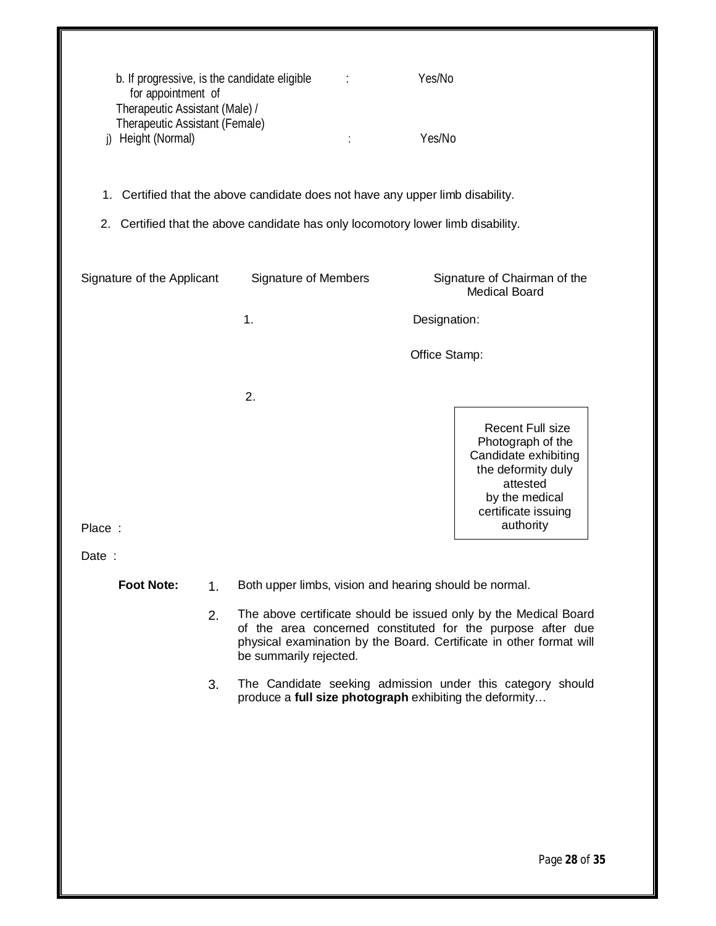| i)              | for appointment of<br>Therapeutic Assistant (Male) /<br>Therapeutic Assistant (Female)<br>Height (Normal) |                | b. If progressive, is the candidate eligible                                   | Yes/No<br>Yes/No                                                                                                                                                                                       |  |
|-----------------|-----------------------------------------------------------------------------------------------------------|----------------|--------------------------------------------------------------------------------|--------------------------------------------------------------------------------------------------------------------------------------------------------------------------------------------------------|--|
|                 |                                                                                                           |                | 1. Certified that the above candidate does not have any upper limb disability. |                                                                                                                                                                                                        |  |
|                 |                                                                                                           |                |                                                                                | 2. Certified that the above candidate has only locomotory lower limb disability.                                                                                                                       |  |
|                 |                                                                                                           |                |                                                                                |                                                                                                                                                                                                        |  |
|                 | Signature of the Applicant                                                                                |                | <b>Signature of Members</b>                                                    | Signature of Chairman of the<br><b>Medical Board</b>                                                                                                                                                   |  |
|                 |                                                                                                           |                | 1.                                                                             | Designation:                                                                                                                                                                                           |  |
|                 |                                                                                                           |                |                                                                                | Office Stamp:                                                                                                                                                                                          |  |
| Place:<br>Date: |                                                                                                           |                | 2.                                                                             | <b>Recent Full size</b><br>Photograph of the<br>Candidate exhibiting<br>the deformity duly<br>attested<br>by the medical<br>certificate issuing<br>authority                                           |  |
|                 | <b>Foot Note:</b>                                                                                         | 1 <sub>1</sub> |                                                                                | Both upper limbs, vision and hearing should be normal.                                                                                                                                                 |  |
|                 |                                                                                                           | 2.             | be summarily rejected.                                                         | The above certificate should be issued only by the Medical Board<br>of the area concerned constituted for the purpose after due<br>physical examination by the Board. Certificate in other format will |  |
|                 |                                                                                                           | 3.             |                                                                                | The Candidate seeking admission under this category should<br>produce a full size photograph exhibiting the deformity                                                                                  |  |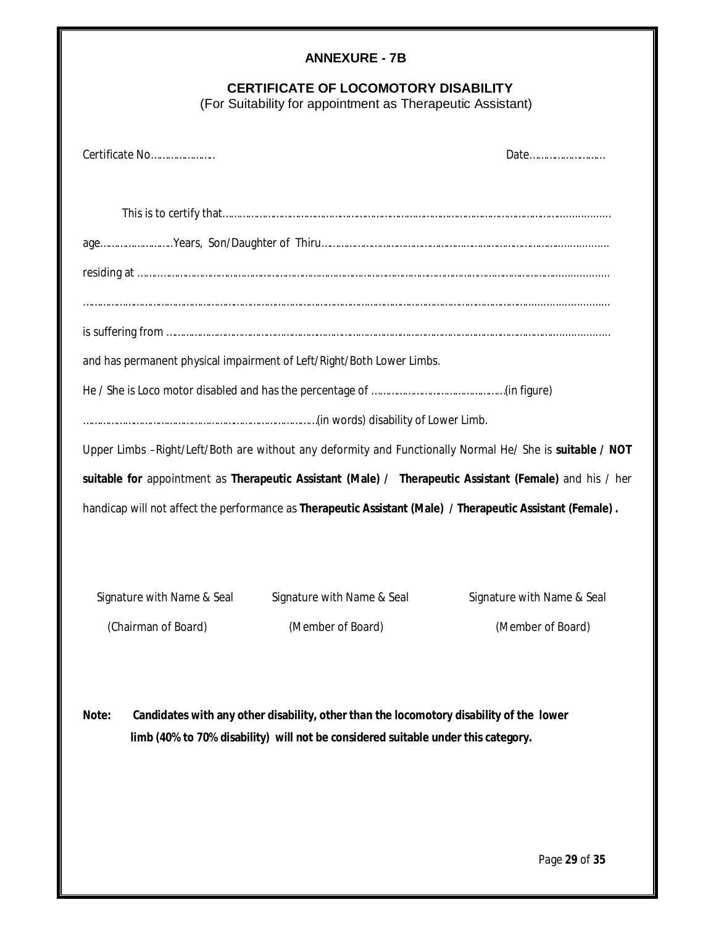| <b>ANNEXURE - 7B</b>                                                                                                                                                                  |  |  |
|---------------------------------------------------------------------------------------------------------------------------------------------------------------------------------------|--|--|
| <b>CERTIFICATE OF LOCOMOTORY DISABILITY</b><br>(For Suitability for appointment as Therapeutic Assistant)                                                                             |  |  |
| Certificate No<br>Date                                                                                                                                                                |  |  |
|                                                                                                                                                                                       |  |  |
|                                                                                                                                                                                       |  |  |
|                                                                                                                                                                                       |  |  |
|                                                                                                                                                                                       |  |  |
| and has permanent physical impairment of Left/Right/Both Lower Limbs.                                                                                                                 |  |  |
|                                                                                                                                                                                       |  |  |
|                                                                                                                                                                                       |  |  |
| Upper Limbs -Right/Left/Both are without any deformity and Functionally Normal He/ She is suitable / NOT                                                                              |  |  |
| suitable for appointment as Therapeutic Assistant (Male) / Therapeutic Assistant (Female) and his / her                                                                               |  |  |
| handicap will not affect the performance as Therapeutic Assistant (Male) / Therapeutic Assistant (Female).                                                                            |  |  |
| Signature with Name & Seal<br>Signature with Name & Seal<br>Signature with Name & Seal                                                                                                |  |  |
| (Chairman of Board)<br>(Member of Board)<br>(Member of Board)                                                                                                                         |  |  |
| Note:<br>Candidates with any other disability, other than the locomotory disability of the lower<br>limb (40% to 70% disability) will not be considered suitable under this category. |  |  |

Page **29** of **35**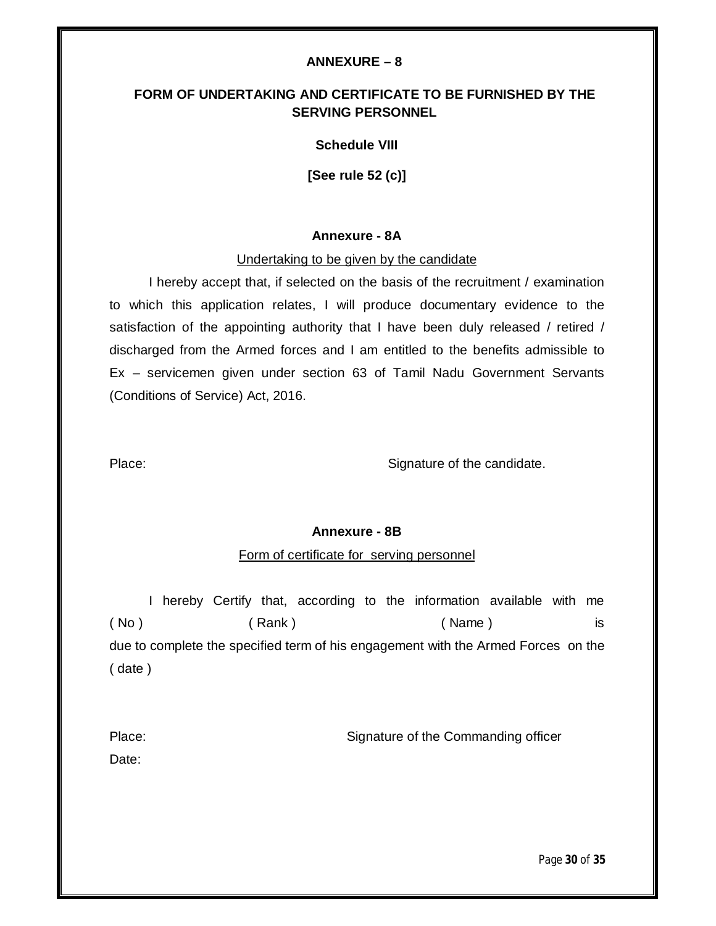#### **ANNEXURE – 8**

# **FORM OF UNDERTAKING AND CERTIFICATE TO BE FURNISHED BY THE SERVING PERSONNEL**

#### **Schedule VIII**

**[See rule 52 (c)]**

#### **Annexure - 8A**

#### Undertaking to be given by the candidate

I hereby accept that, if selected on the basis of the recruitment / examination to which this application relates, I will produce documentary evidence to the satisfaction of the appointing authority that I have been duly released / retired / discharged from the Armed forces and I am entitled to the benefits admissible to Ex – servicemen given under section 63 of Tamil Nadu Government Servants (Conditions of Service) Act, 2016.

Place: Signature of the candidate.

#### **Annexure - 8B**

#### Form of certificate for serving personnel

I hereby Certify that, according to the information available with me ( No ) ( Rank ) ( Name ) is due to complete the specified term of his engagement with the Armed Forces on the ( date )

| Place: | Signature of the Commanding officer |
|--------|-------------------------------------|
| Date:  |                                     |

Page **30** of **35**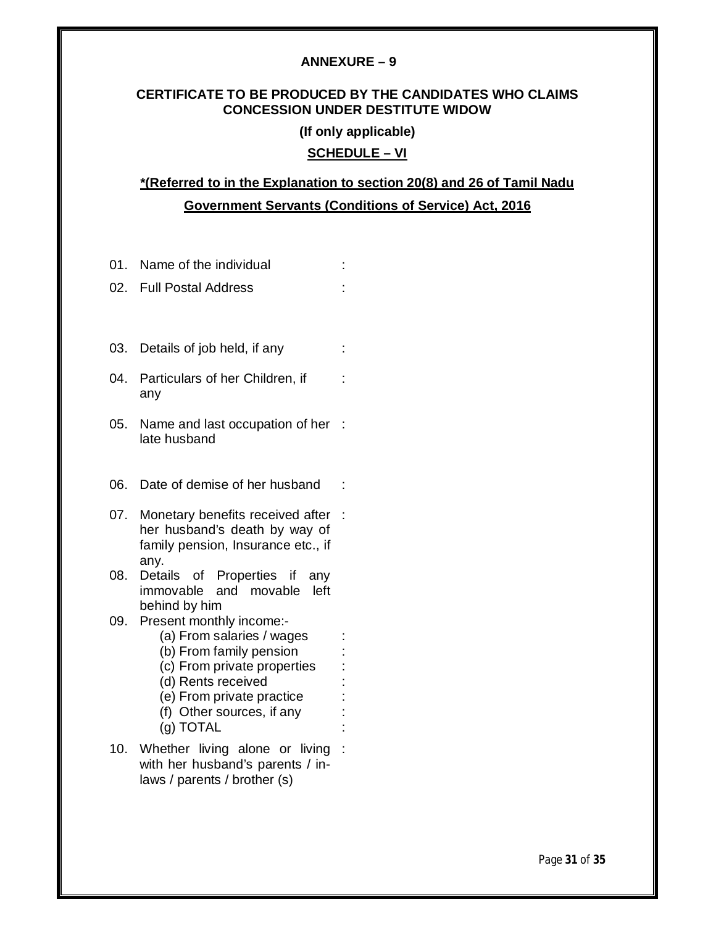#### **ANNEXURE – 9**

#### **CERTIFICATE TO BE PRODUCED BY THE CANDIDATES WHO CLAIMS CONCESSION UNDER DESTITUTE WIDOW**

#### **(If only applicable)**

# **SCHEDULE – VI**

# **\*(Referred to in the Explanation to section 20(8) and 26 of Tamil Nadu Government Servants (Conditions of Service) Act, 2016**

| 01. | Name of the individual                                                                                          |  |
|-----|-----------------------------------------------------------------------------------------------------------------|--|
| 02. | <b>Full Postal Address</b>                                                                                      |  |
|     |                                                                                                                 |  |
|     |                                                                                                                 |  |
| 03. | Details of job held, if any                                                                                     |  |
| 04. | Particulars of her Children, if<br>any                                                                          |  |
| 05. | Name and last occupation of her<br>late husband                                                                 |  |
| 06. | Date of demise of her husband                                                                                   |  |
| 07. | Monetary benefits received after<br>her husband's death by way of<br>family pension, Insurance etc., if<br>any. |  |
| 08. | Details of Properties if<br>any<br>immovable and movable<br>left<br>behind by him                               |  |
| 09. | Present monthly income:-                                                                                        |  |
|     | (a) From salaries / wages<br>(b) From family pension                                                            |  |
|     | (c) From private properties                                                                                     |  |
|     | (d) Rents received                                                                                              |  |
|     | (e) From private practice                                                                                       |  |
|     | (f) Other sources, if any<br>(g) TOTAL                                                                          |  |
|     | 10. Whether living alone or living<br>with her husband's parents / in-<br>laws / parents / brother (s)          |  |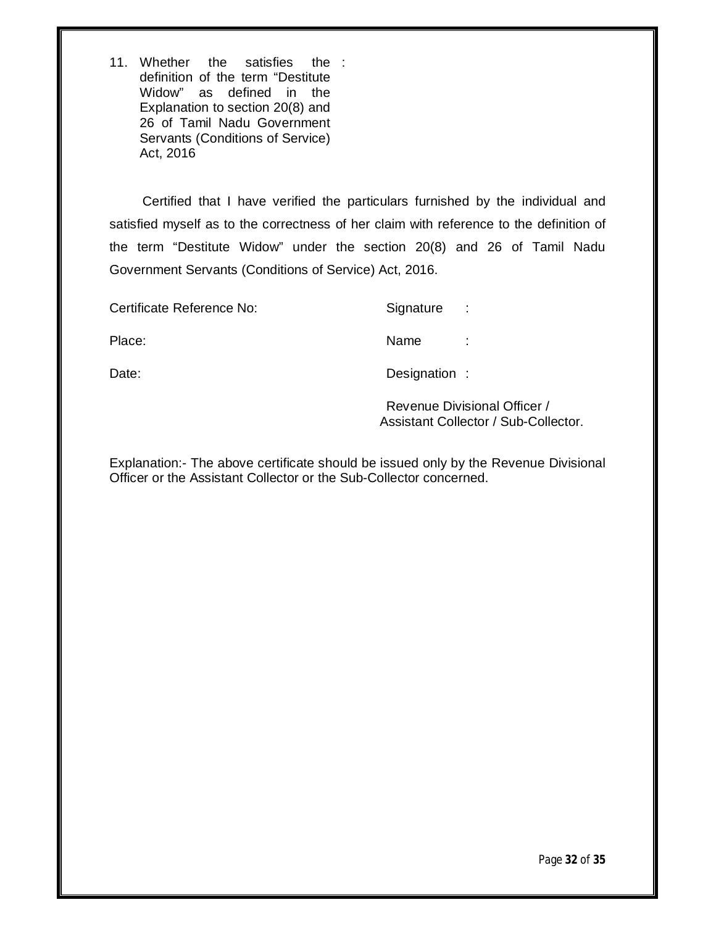11. Whether the satisfies definition of the term "Destitute Widow" as defined in the Explanation to section 20(8) and 26 of Tamil Nadu Government Servants (Conditions of Service) Act, 2016 the :

 Certified that I have verified the particulars furnished by the individual and satisfied myself as to the correctness of her claim with reference to the definition of the term "Destitute Widow" under the section 20(8) and 26 of Tamil Nadu Government Servants (Conditions of Service) Act, 2016.

| Certificate Reference No: | Signature     | ÷       |
|---------------------------|---------------|---------|
| Place:                    | Name          | ٠<br>×. |
| Date:                     | Designation : |         |

Revenue Divisional Officer / Assistant Collector / Sub-Collector.

Explanation:- The above certificate should be issued only by the Revenue Divisional Officer or the Assistant Collector or the Sub-Collector concerned.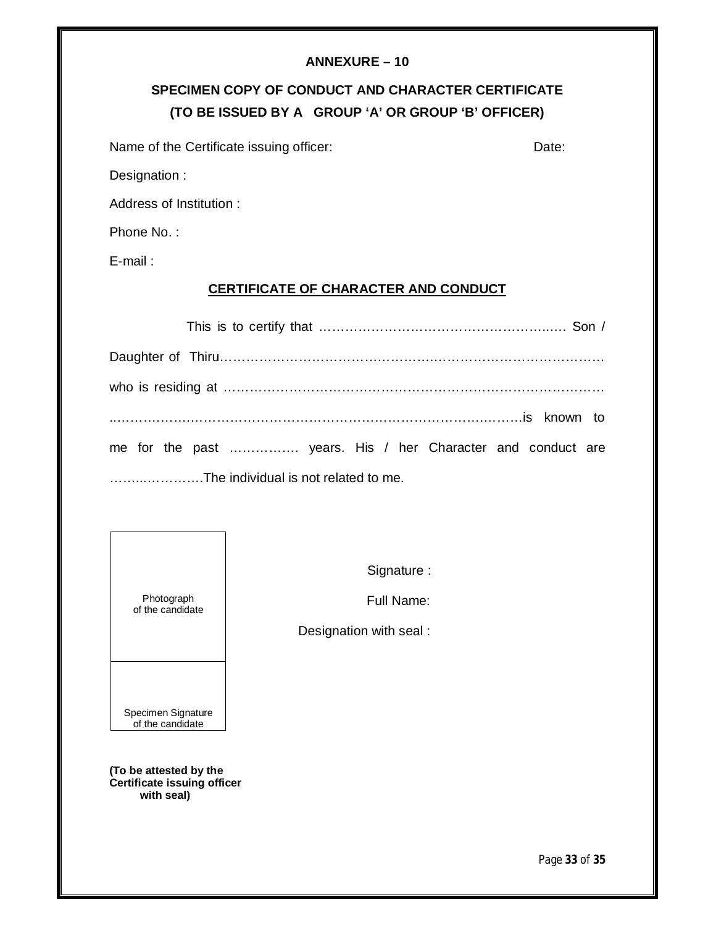#### **ANNEXURE – 10**

# **SPECIMEN COPY OF CONDUCT AND CHARACTER CERTIFICATE (TO BE ISSUED BY A GROUP 'A' OR GROUP 'B' OFFICER)**

Name of the Certificate issuing officer: Date: Date:

Designation :

Address of Institution :

Phone No. :

E-mail :

#### **CERTIFICATE OF CHARACTER AND CONDUCT**

| me for the past  years. His / her Character and conduct are |
|-------------------------------------------------------------|
| The individual is not related to me.                        |

Photograph of the candidate Signature :

Full Name:

Designation with seal :

**(To be attested by the Certificate issuing officer with seal)**

Specimen Signature of the candidate

Page **33** of **35**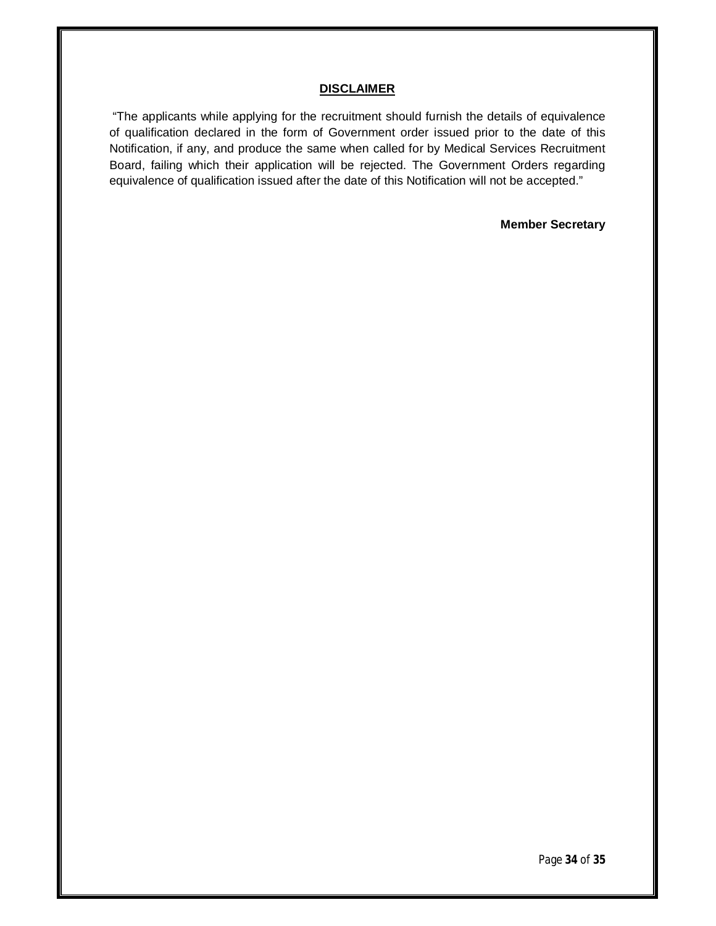#### **DISCLAIMER**

"The applicants while applying for the recruitment should furnish the details of equivalence of qualification declared in the form of Government order issued prior to the date of this Notification, if any, and produce the same when called for by Medical Services Recruitment Board, failing which their application will be rejected. The Government Orders regarding equivalence of qualification issued after the date of this Notification will not be accepted."

**Member Secretary**